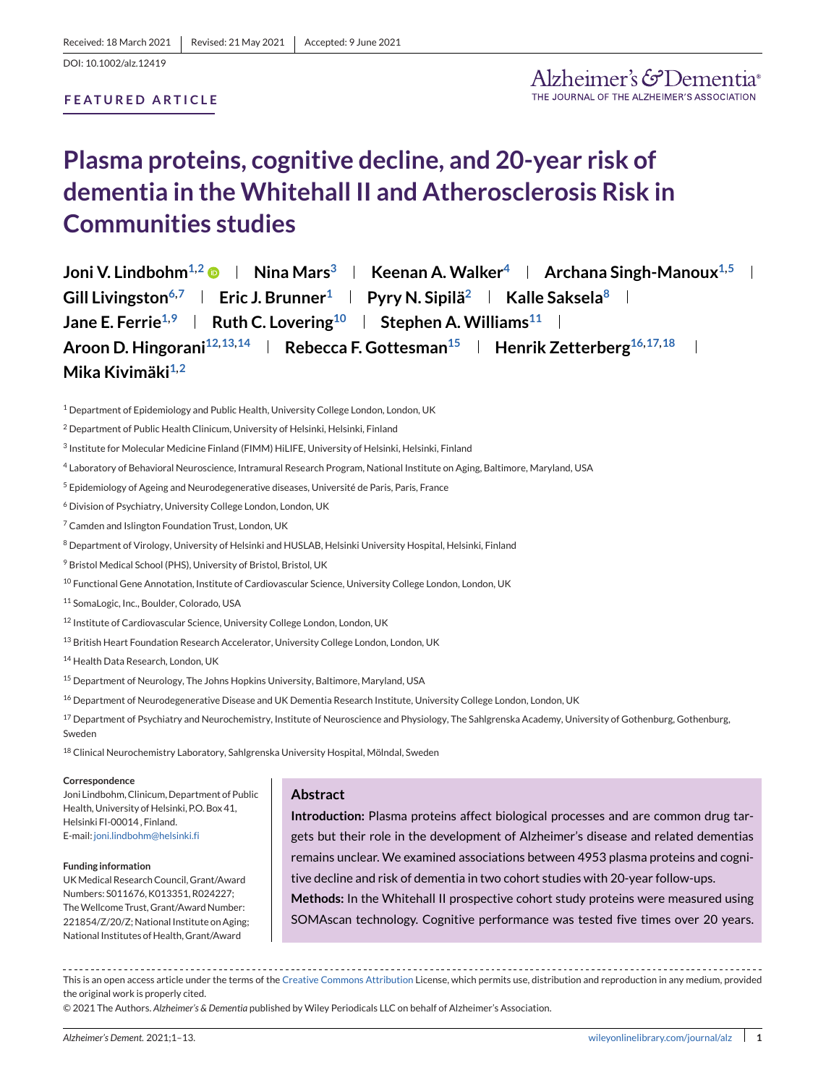DOI: 10.1002/alz.12419

# **FEATURED ARTICLE**

# **Plasma proteins, cognitive decline, and 20-year risk of dementia in the Whitehall II and Atherosclerosis Risk in Communities studies**

**Joni V. Lindbohm<sup>1,2</sup>**  $\bullet$  **| Nina Mars<sup>3</sup> | Keenan A. Walker<sup>4</sup> | Archana Singh-Manoux<sup>1,5</sup> |** Gill Livingston<sup>6,7</sup> **Eric J. Brunner**<sup>1</sup> **Pyry N. Sipilä**<sup>2</sup> **Kalle Saksela**<sup>8</sup> **I Jane E. Ferrie**<sup>1,9</sup> **Ruth C. Lovering**<sup>10</sup> **Stephen A. Williams**<sup>11</sup> **Reserve** Aroon D. Hingorani<sup>12,13,14</sup> | Rebecca F. Gottesman<sup>15</sup> | Henrik Zetterberg<sup>16,17,18</sup> Mika Kivimäki<sup>1,2</sup>

<sup>1</sup> Department of Epidemiology and Public Health, University College London, London, UK

<sup>4</sup> Laboratory of Behavioral Neuroscience, Intramural Research Program, National Institute on Aging, Baltimore, Maryland, USA

<sup>5</sup> Epidemiology of Ageing and Neurodegenerative diseases, Université de Paris, Paris, France

<sup>6</sup> Division of Psychiatry, University College London, London, UK

<sup>7</sup> Camden and Islington Foundation Trust, London, UK

8 Department of Virology, University of Helsinki and HUSLAB, Helsinki University Hospital, Helsinki, Finland

<sup>9</sup> Bristol Medical School (PHS), University of Bristol, Bristol, UK

<sup>10</sup> Functional Gene Annotation, Institute of Cardiovascular Science, University College London, London, UK

11 SomaLogic, Inc., Boulder, Colorado, USA

<sup>12</sup> Institute of Cardiovascular Science, University College London, London, UK

13 British Heart Foundation Research Accelerator, University College London, London, UK

<sup>14</sup> Health Data Research, London, UK

<sup>15</sup> Department of Neurology, The Johns Hopkins University, Baltimore, Maryland, USA

<sup>16</sup> Department of Neurodegenerative Disease and UK Dementia Research Institute, University College London, London, UK

 $^{17}$  Department of Psychiatry and Neurochemistry, Institute of Neuroscience and Physiology, The Sahlgrenska Academy, University of Gothenburg, Gothenburg, Sweden

<sup>18</sup> Clinical Neurochemistry Laboratory, Sahlgrenska University Hospital, Mölndal, Sweden

#### **Correspondence**

Joni Lindbohm, Clinicum, Department of Public Health, University of Helsinki, P.O. Box 41, Helsinki FI-00014 , Finland. E-mail: [joni.lindbohm@helsinki.fi](mailto:joni.lindbohm@helsinki.fi)

#### **Funding information**

UKMedical Research Council, Grant/Award Numbers: S011676, K013351, R024227; The Wellcome Trust, Grant/Award Number: 221854/Z/20/Z; National Institute on Aging; National Institutes of Health, Grant/Award

# **Abstract**

**Introduction:** Plasma proteins affect biological processes and are common drug targets but their role in the development of Alzheimer's disease and related dementias remains unclear. We examined associations between 4953 plasma proteins and cognitive decline and risk of dementia in two cohort studies with 20-year follow-ups.

**Methods:** In the Whitehall II prospective cohort study proteins were measured using SOMAscan technology. Cognitive performance was tested five times over 20 years.

This is an open access article under the terms of the [Creative Commons Attribution](http://creativecommons.org/licenses/by/4.0/) License, which permits use, distribution and reproduction in any medium, provided the original work is properly cited.

© 2021 The Authors. *Alzheimer's & Dementia* published by Wiley Periodicals LLC on behalf of Alzheimer's Association.

<sup>&</sup>lt;sup>2</sup> Department of Public Health Clinicum, University of Helsinki, Helsinki, Finland

<sup>&</sup>lt;sup>3</sup> Institute for Molecular Medicine Finland (FIMM) HiLIFE, University of Helsinki, Helsinki, Finland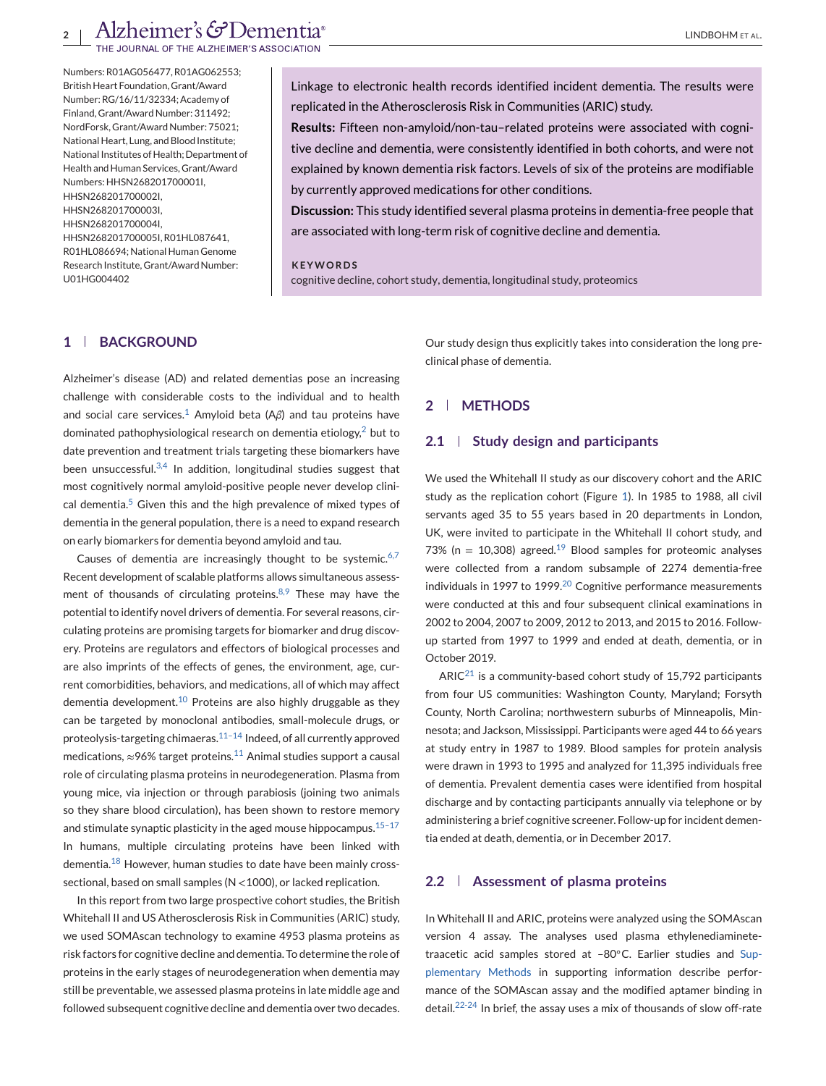Numbers: R01AG056477, R01AG062553; British Heart Foundation, Grant/Award Number: RG/16/11/32334; Academy of Finland, Grant/Award Number: 311492; NordForsk, Grant/Award Number: 75021; National Heart, Lung, and Blood Institute; National Institutes of Health; Department of Health and Human Services, Grant/Award Numbers: HHSN268201700001I, HHSN268201700002I, HHSN268201700003I, HHSN268201700004I, HHSN268201700005I, R01HL087641, R01HL086694; National Human Genome Research Institute, Grant/Award Number: U01HG004402

Linkage to electronic health records identified incident dementia. The results were replicated in the Atherosclerosis Risk in Communities (ARIC) study.

**Results:** Fifteen non-amyloid/non-tau–related proteins were associated with cognitive decline and dementia, were consistently identified in both cohorts, and were not explained by known dementia risk factors. Levels of six of the proteins are modifiable by currently approved medications for other conditions.

**Discussion:** This study identified several plasma proteins in dementia-free people that are associated with long-term risk of cognitive decline and dementia.

#### **KEYWORDS**

cognitive decline, cohort study, dementia, longitudinal study, proteomics

# **1 BACKGROUND**

Alzheimer's disease (AD) and related dementias pose an increasing challenge with considerable costs to the individual and to health and social care services.<sup>[1](#page-9-0)</sup> Amyloid beta ( $A\beta$ ) and tau proteins have dominated pathophysiological research on dementia etiology, $2$  but to date prevention and treatment trials targeting these biomarkers have been unsuccessful. $3,4$  In addition, longitudinal studies suggest that most cognitively normal amyloid-positive people never develop clinical dementia. $5$  Given this and the high prevalence of mixed types of dementia in the general population, there is a need to expand research on early biomarkers for dementia beyond amyloid and tau.

Causes of dementia are increasingly thought to be systemic. $6,7$ Recent development of scalable platforms allows simultaneous assessment of thousands of circulating proteins. $8,9$  These may have the potential to identify novel drivers of dementia. For several reasons, circulating proteins are promising targets for biomarker and drug discovery. Proteins are regulators and effectors of biological processes and are also imprints of the effects of genes, the environment, age, current comorbidities, behaviors, and medications, all of which may affect dementia development.<sup>[10](#page-9-0)</sup> Proteins are also highly druggable as they can be targeted by monoclonal antibodies, small-molecule drugs, or proteolysis-targeting chimaeras. $11-14$  Indeed, of all currently approved medications,  $\approx$ 96% target proteins.<sup>[11](#page-9-0)</sup> Animal studies support a causal role of circulating plasma proteins in neurodegeneration. Plasma from young mice, via injection or through parabiosis (joining two animals so they share blood circulation), has been shown to restore memory and stimulate synaptic plasticity in the aged mouse hippocampus.  $15-17$ In humans, multiple circulating proteins have been linked with dementia.<sup>[18](#page-10-0)</sup> However, human studies to date have been mainly crosssectional, based on small samples (N <1000), or lacked replication.

In this report from two large prospective cohort studies, the British Whitehall II and US Atherosclerosis Risk in Communities (ARIC) study, we used SOMAscan technology to examine 4953 plasma proteins as risk factors for cognitive decline and dementia. To determine the role of proteins in the early stages of neurodegeneration when dementia may still be preventable, we assessed plasma proteins in late middle age and followed subsequent cognitive decline and dementia over two decades.

Our study design thus explicitly takes into consideration the long preclinical phase of dementia.

# **2 METHODS**

#### **2.1 Study design and participants**

We used the Whitehall II study as our discovery cohort and the ARIC study as the replication cohort (Figure [1\)](#page-2-0). In 1985 to 1988, all civil servants aged 35 to 55 years based in 20 departments in London, UK, were invited to participate in the Whitehall II cohort study, and 73% (n = 10,308) agreed.<sup>[19](#page-10-0)</sup> Blood samples for proteomic analyses were collected from a random subsample of 2274 dementia-free individuals in 1997 to 1999.<sup>[20](#page-10-0)</sup> Cognitive performance measurements were conducted at this and four subsequent clinical examinations in 2002 to 2004, 2007 to 2009, 2012 to 2013, and 2015 to 2016. Followup started from 1997 to 1999 and ended at death, dementia, or in October 2019.

 $ARIC<sup>21</sup>$  $ARIC<sup>21</sup>$  $ARIC<sup>21</sup>$  is a community-based cohort study of 15,792 participants from four US communities: Washington County, Maryland; Forsyth County, North Carolina; northwestern suburbs of Minneapolis, Minnesota; and Jackson, Mississippi. Participants were aged 44 to 66 years at study entry in 1987 to 1989. Blood samples for protein analysis were drawn in 1993 to 1995 and analyzed for 11,395 individuals free of dementia. Prevalent dementia cases were identified from hospital discharge and by contacting participants annually via telephone or by administering a brief cognitive screener. Follow-up for incident dementia ended at death, dementia, or in December 2017.

#### **2.2 Assessment of plasma proteins**

In Whitehall II and ARIC, proteins were analyzed using the SOMAscan version 4 assay. The analyses used plasma ethylenediaminetetraacetic acid samples stored at –80◦C. Earlier studies and Supplementary Methods in supporting information describe performance of the SOMAscan assay and the modified aptamer binding in detail.[22-24](#page-10-0) In brief, the assay uses a mix of thousands of slow off-rate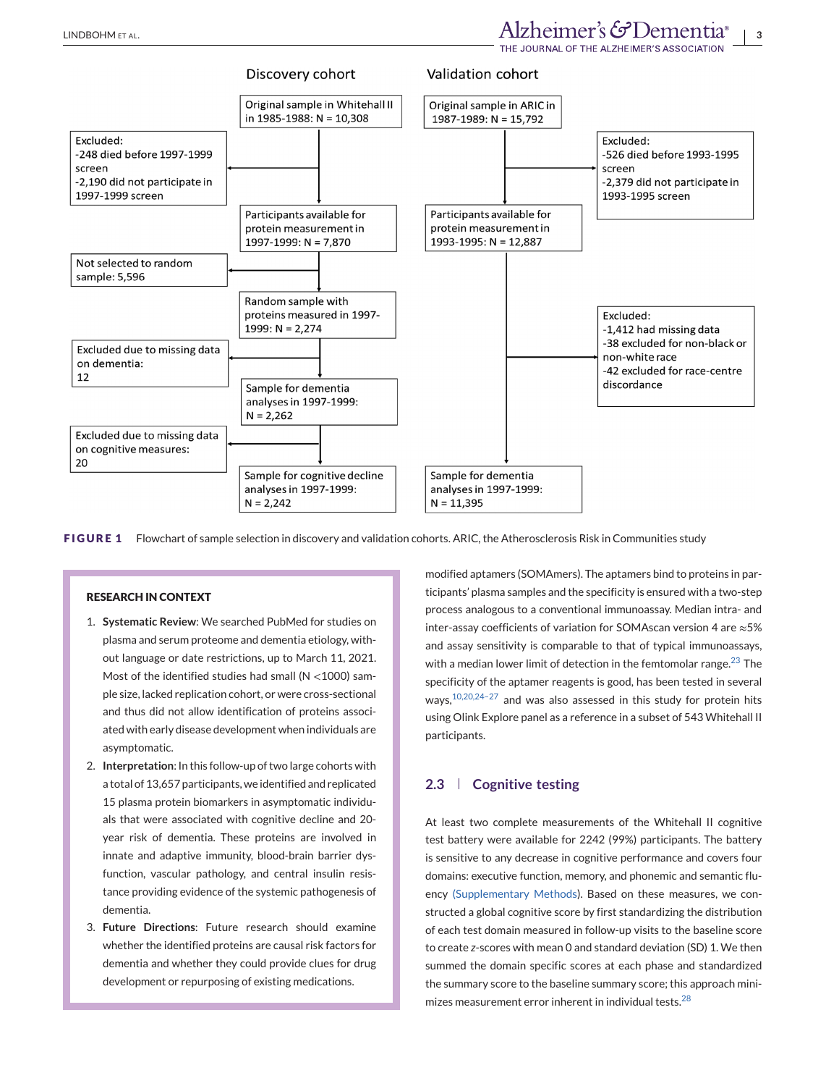<span id="page-2-0"></span>

**FIGURE 1** Flowchart of sample selection in discovery and validation cohorts. ARIC, the Atherosclerosis Risk in Communities study

## **RESEARCH IN CONTEXT**

- 1. **Systematic Review**: We searched PubMed for studies on plasma and serum proteome and dementia etiology, without language or date restrictions, up to March 11, 2021. Most of the identified studies had small ( $N < 1000$ ) sample size, lacked replication cohort, or were cross-sectional and thus did not allow identification of proteins associated with early disease development when individuals are asymptomatic.
- 2. **Interpretation**: In this follow-up of two large cohorts with a total of 13,657 participants, we identified and replicated 15 plasma protein biomarkers in asymptomatic individuals that were associated with cognitive decline and 20 year risk of dementia. These proteins are involved in innate and adaptive immunity, blood-brain barrier dysfunction, vascular pathology, and central insulin resistance providing evidence of the systemic pathogenesis of dementia.
- 3. **Future Directions**: Future research should examine whether the identified proteins are causal risk factors for dementia and whether they could provide clues for drug development or repurposing of existing medications.

modified aptamers (SOMAmers). The aptamers bind to proteins in participants' plasma samples and the specificity is ensured with a two-step process analogous to a conventional immunoassay. Median intra- and inter-assay coefficients of variation for SOMAscan version 4 are ≈5% and assay sensitivity is comparable to that of typical immunoassays, with a median lower limit of detection in the femtomolar range. $^{23}$  $^{23}$  $^{23}$  The specificity of the aptamer reagents is good, has been tested in several ways,<sup>10,20,24-27</sup> and was also assessed in this study for protein hits using Olink Explore panel as a reference in a subset of 543 Whitehall II participants.

# **2.3 Cognitive testing**

At least two complete measurements of the Whitehall II cognitive test battery were available for 2242 (99%) participants. The battery is sensitive to any decrease in cognitive performance and covers four domains: executive function, memory, and phonemic and semantic fluency (Supplementary Methods). Based on these measures, we constructed a global cognitive score by first standardizing the distribution of each test domain measured in follow-up visits to the baseline score to create *z*-scores with mean 0 and standard deviation (SD) 1. We then summed the domain specific scores at each phase and standardized the summary score to the baseline summary score; this approach mini-mizes measurement error inherent in individual tests.<sup>[28](#page-10-0)</sup>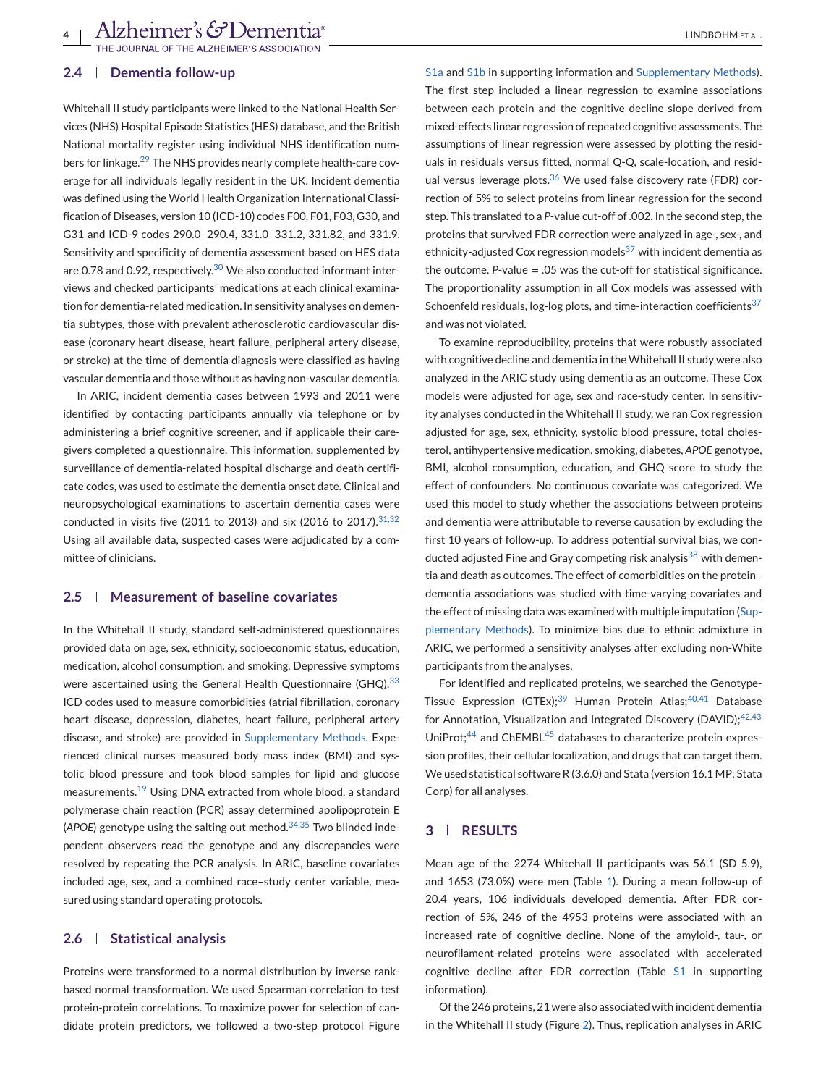## **2.4 Dementia follow-up**

Whitehall II study participants were linked to the National Health Services (NHS) Hospital Episode Statistics (HES) database, and the British National mortality register using individual NHS identification num-bers for linkage.<sup>[29](#page-10-0)</sup> The NHS provides nearly complete health-care coverage for all individuals legally resident in the UK. Incident dementia was defined using the World Health Organization International Classification of Diseases, version 10 (ICD-10) codes F00, F01, F03, G30, and G31 and ICD-9 codes 290.0–290.4, 331.0–331.2, 331.82, and 331.9. Sensitivity and specificity of dementia assessment based on HES data are 0.78 and 0.92, respectively.<sup>[30](#page-10-0)</sup> We also conducted informant interviews and checked participants' medications at each clinical examination for dementia-related medication. In sensitivity analyses on dementia subtypes, those with prevalent atherosclerotic cardiovascular disease (coronary heart disease, heart failure, peripheral artery disease, or stroke) at the time of dementia diagnosis were classified as having vascular dementia and those without as having non-vascular dementia.

In ARIC, incident dementia cases between 1993 and 2011 were identified by contacting participants annually via telephone or by administering a brief cognitive screener, and if applicable their caregivers completed a questionnaire. This information, supplemented by surveillance of dementia-related hospital discharge and death certificate codes, was used to estimate the dementia onset date. Clinical and neuropsychological examinations to ascertain dementia cases were conducted in visits five (2011 to 2013) and six (2016 to 2017).  $31,32$ Using all available data, suspected cases were adjudicated by a committee of clinicians.

# **2.5 Measurement of baseline covariates**

In the Whitehall II study, standard self-administered questionnaires provided data on age, sex, ethnicity, socioeconomic status, education, medication, alcohol consumption, and smoking. Depressive symptoms were ascertained using the General Health Questionnaire (GHQ).<sup>[33](#page-10-0)</sup> ICD codes used to measure comorbidities (atrial fibrillation, coronary heart disease, depression, diabetes, heart failure, peripheral artery disease, and stroke) are provided in Supplementary Methods. Experienced clinical nurses measured body mass index (BMI) and systolic blood pressure and took blood samples for lipid and glucose measurements.[19](#page-10-0) Using DNA extracted from whole blood, a standard polymerase chain reaction (PCR) assay determined apolipoprotein E (*APOE*) genotype using the salting out method.[34,35](#page-10-0) Two blinded independent observers read the genotype and any discrepancies were resolved by repeating the PCR analysis. In ARIC, baseline covariates included age, sex, and a combined race–study center variable, measured using standard operating protocols.

### **2.6 Statistical analysis**

Proteins were transformed to a normal distribution by inverse rankbased normal transformation. We used Spearman correlation to test protein-protein correlations. To maximize power for selection of candidate protein predictors, we followed a two-step protocol Figure S1a and S1b in supporting information and Supplementary Methods). The first step included a linear regression to examine associations between each protein and the cognitive decline slope derived from mixed-effects linear regression of repeated cognitive assessments. The assumptions of linear regression were assessed by plotting the residuals in residuals versus fitted, normal Q-Q, scale-location, and residual versus leverage plots. $36$  We used false discovery rate (FDR) correction of 5% to select proteins from linear regression for the second step. This translated to a *P*-value cut-off of .002. In the second step, the proteins that survived FDR correction were analyzed in age-, sex-, and ethnicity-adjusted Cox regression models<sup>[37](#page-10-0)</sup> with incident dementia as the outcome.  $P$ -value  $= .05$  was the cut-off for statistical significance. The proportionality assumption in all Cox models was assessed with Schoenfeld residuals, log-log plots, and time-interaction coefficients $37$ and was not violated.

To examine reproducibility, proteins that were robustly associated with cognitive decline and dementia in the Whitehall II study were also analyzed in the ARIC study using dementia as an outcome. These Cox models were adjusted for age, sex and race-study center. In sensitivity analyses conducted in the Whitehall II study, we ran Cox regression adjusted for age, sex, ethnicity, systolic blood pressure, total cholesterol, antihypertensive medication, smoking, diabetes, *APOE* genotype, BMI, alcohol consumption, education, and GHQ score to study the effect of confounders. No continuous covariate was categorized. We used this model to study whether the associations between proteins and dementia were attributable to reverse causation by excluding the first 10 years of follow-up. To address potential survival bias, we con-ducted adjusted Fine and Gray competing risk analysis<sup>[38](#page-10-0)</sup> with dementia and death as outcomes. The effect of comorbidities on the protein– dementia associations was studied with time-varying covariates and the effect of missing data was examined with multiple imputation (Supplementary Methods). To minimize bias due to ethnic admixture in ARIC, we performed a sensitivity analyses after excluding non-White participants from the analyses.

For identified and replicated proteins, we searched the Genotype-Tissue Expression (GTEx);<sup>[39](#page-10-0)</sup> Human Protein Atlas;<sup>[40,41](#page-10-0)</sup> Database for Annotation, Visualization and Integrated Discovery (DAVID); $42,43$ UniProt;<sup>[44](#page-10-0)</sup> and ChEMBL<sup>45</sup> databases to characterize protein expression profiles, their cellular localization, and drugs that can target them. We used statistical software R (3.6.0) and Stata (version 16.1 MP; Stata Corp) for all analyses.

# **3 RESULTS**

Mean age of the 2274 Whitehall II participants was 56.1 (SD 5.9), and 1653 (73.0%) were men (Table [1\)](#page-4-0). During a mean follow-up of 20.4 years, 106 individuals developed dementia. After FDR correction of 5%, 246 of the 4953 proteins were associated with an increased rate of cognitive decline. None of the amyloid-, tau-, or neurofilament-related proteins were associated with accelerated cognitive decline after FDR correction (Table S1 in supporting information).

Of the 246 proteins, 21 were also associated with incident dementia in the Whitehall II study (Figure [2\)](#page-5-0). Thus, replication analyses in ARIC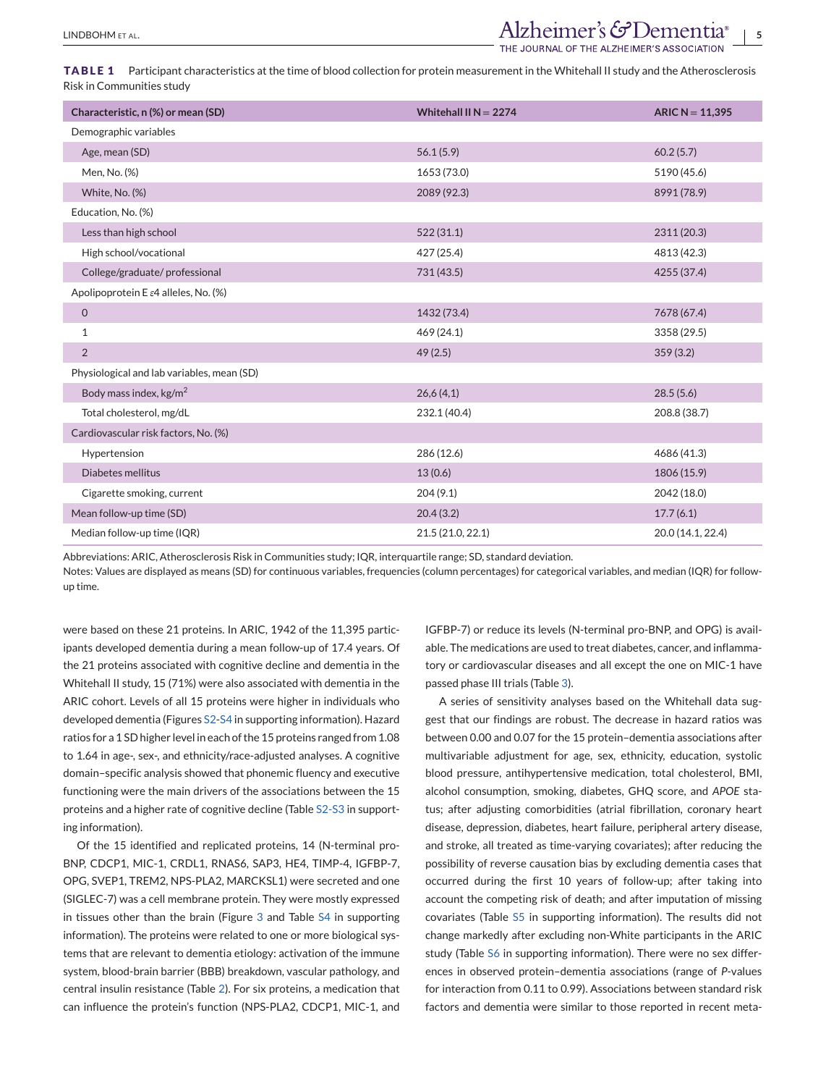<span id="page-4-0"></span>LINDBOHMETAL. **Alzheimer's & Dementia**®

**TABLE 1** Participant characteristics at the time of blood collection for protein measurement in the Whitehall II study and the Atherosclerosis Risk in Communities study

| Characteristic, n (%) or mean (SD)                | Whitehall II N = $2274$ | $ARIC N = 11,395$ |
|---------------------------------------------------|-------------------------|-------------------|
| Demographic variables                             |                         |                   |
| Age, mean (SD)                                    | 56.1(5.9)               | 60.2(5.7)         |
| Men, No. (%)                                      | 1653 (73.0)             | 5190 (45.6)       |
| White, No. (%)                                    | 2089 (92.3)             | 8991 (78.9)       |
| Education, No. (%)                                |                         |                   |
| Less than high school                             | 522(31.1)               | 2311 (20.3)       |
| High school/vocational                            | 427 (25.4)              | 4813 (42.3)       |
| College/graduate/professional                     | 731(43.5)               | 4255 (37.4)       |
| Apolipoprotein E $\varepsilon$ 4 alleles, No. (%) |                         |                   |
| $\mathsf O$                                       | 1432 (73.4)             | 7678 (67.4)       |
| 1                                                 | 469 (24.1)              | 3358 (29.5)       |
| $\overline{2}$                                    | 49(2.5)                 | 359(3.2)          |
| Physiological and lab variables, mean (SD)        |                         |                   |
| Body mass index, kg/m <sup>2</sup>                | 26,6(4,1)               | 28.5(5.6)         |
| Total cholesterol, mg/dL                          | 232.1 (40.4)            | 208.8 (38.7)      |
| Cardiovascular risk factors, No. (%)              |                         |                   |
| Hypertension                                      | 286 (12.6)              | 4686 (41.3)       |
| Diabetes mellitus                                 | 13(0.6)                 | 1806 (15.9)       |
| Cigarette smoking, current                        | 204(9.1)                | 2042 (18.0)       |
| Mean follow-up time (SD)                          | 20.4(3.2)               | 17.7(6.1)         |
| Median follow-up time (IQR)                       | 21.5 (21.0, 22.1)       | 20.0 (14.1, 22.4) |

Abbreviations: ARIC, Atherosclerosis Risk in Communities study; IQR, interquartile range; SD, standard deviation.

Notes: Values are displayed as means (SD) for continuous variables, frequencies (column percentages) for categorical variables, and median (IQR) for followup time.

were based on these 21 proteins. In ARIC, 1942 of the 11,395 participants developed dementia during a mean follow-up of 17.4 years. Of the 21 proteins associated with cognitive decline and dementia in the Whitehall II study, 15 (71%) were also associated with dementia in the ARIC cohort. Levels of all 15 proteins were higher in individuals who developed dementia (Figures S2-S4 in supporting information). Hazard ratios for a 1 SD higher level in each of the 15 proteins ranged from 1.08 to 1.64 in age-, sex-, and ethnicity/race-adjusted analyses. A cognitive domain–specific analysis showed that phonemic fluency and executive functioning were the main drivers of the associations between the 15 proteins and a higher rate of cognitive decline (Table S2-S3 in supporting information).

Of the 15 identified and replicated proteins, 14 (N-terminal pro-BNP, CDCP1, MIC-1, CRDL1, RNAS6, SAP3, HE4, TIMP-4, IGFBP-7, OPG, SVEP1, TREM2, NPS-PLA2, MARCKSL1) were secreted and one (SIGLEC-7) was a cell membrane protein. They were mostly expressed in tissues other than the brain (Figure [3](#page-5-0) and Table S4 in supporting information). The proteins were related to one or more biological systems that are relevant to dementia etiology: activation of the immune system, blood-brain barrier (BBB) breakdown, vascular pathology, and central insulin resistance (Table [2\)](#page-6-0). For six proteins, a medication that can influence the protein's function (NPS-PLA2, CDCP1, MIC-1, and

IGFBP-7) or reduce its levels (N-terminal pro-BNP, and OPG) is available. The medications are used to treat diabetes, cancer, and inflammatory or cardiovascular diseases and all except the one on MIC-1 have passed phase III trials (Table [3\)](#page-6-0).

A series of sensitivity analyses based on the Whitehall data suggest that our findings are robust. The decrease in hazard ratios was between 0.00 and 0.07 for the 15 protein–dementia associations after multivariable adjustment for age, sex, ethnicity, education, systolic blood pressure, antihypertensive medication, total cholesterol, BMI, alcohol consumption, smoking, diabetes, GHQ score, and *APOE* status; after adjusting comorbidities (atrial fibrillation, coronary heart disease, depression, diabetes, heart failure, peripheral artery disease, and stroke, all treated as time-varying covariates); after reducing the possibility of reverse causation bias by excluding dementia cases that occurred during the first 10 years of follow-up; after taking into account the competing risk of death; and after imputation of missing covariates (Table S5 in supporting information). The results did not change markedly after excluding non-White participants in the ARIC study (Table S6 in supporting information). There were no sex differences in observed protein–dementia associations (range of *P*-values for interaction from 0.11 to 0.99). Associations between standard risk factors and dementia were similar to those reported in recent meta-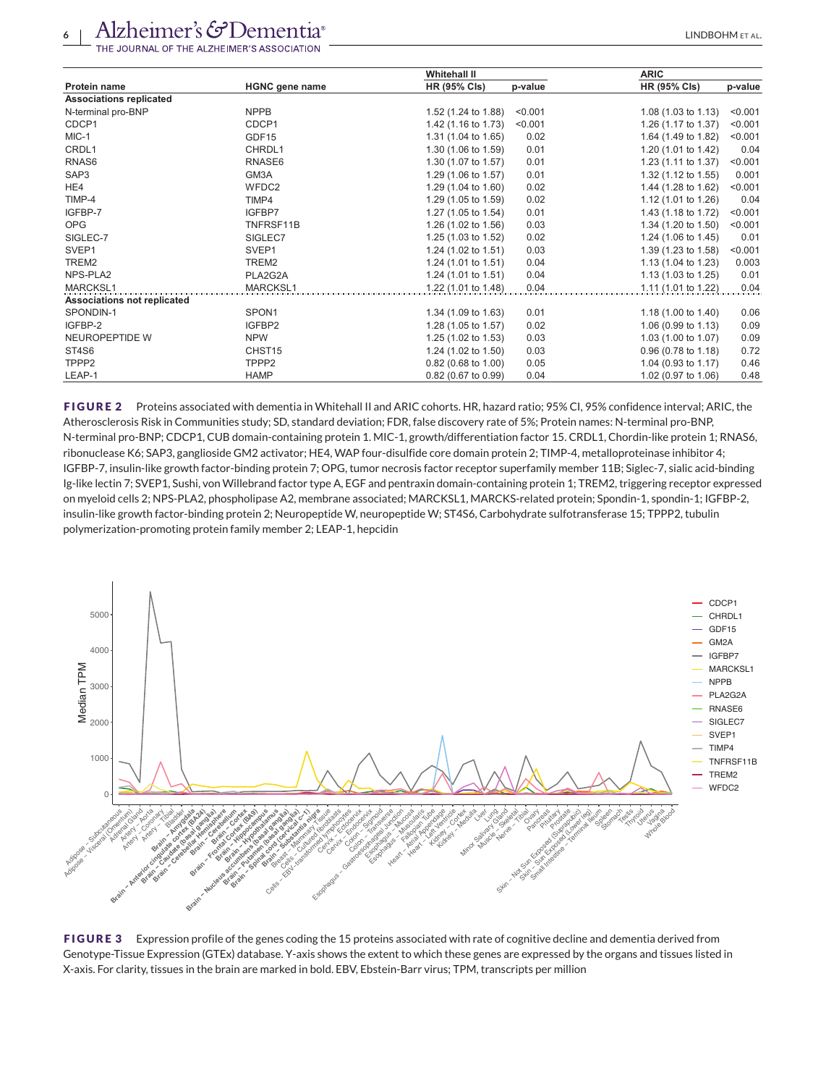<span id="page-5-0"></span>

|                                    |                       | <b>Whitehall II</b>   |         | <b>ARIC</b>                    |         |
|------------------------------------|-----------------------|-----------------------|---------|--------------------------------|---------|
| <b>Protein name</b>                | <b>HGNC</b> gene name | <b>HR (95% Cls)</b>   | p-value | <b>HR (95% Cls)</b>            | p-value |
| <b>Associations replicated</b>     |                       |                       |         |                                |         |
| N-terminal pro-BNP                 | <b>NPPB</b>           | 1.52 (1.24 to 1.88)   | < 0.001 | 1.08 $(1.03 \text{ to } 1.13)$ | < 0.001 |
| CDCP1                              | CDCP1                 | 1.42 (1.16 to 1.73)   | < 0.001 | 1.26 (1.17 to 1.37)            | < 0.001 |
| MIC-1                              | GDF15                 | 1.31 (1.04 to 1.65)   | 0.02    | 1.64 (1.49 to 1.82)            | < 0.001 |
| CRDL1                              | CHRDL1                | 1.30 (1.06 to 1.59)   | 0.01    | 1.20 (1.01 to 1.42)            | 0.04    |
| RNAS6                              | RNASE6                | 1.30 (1.07 to 1.57)   | 0.01    | 1.23 (1.11 to 1.37)            | < 0.001 |
| SAP3                               | GM3A                  | 1.29 (1.06 to 1.57)   | 0.01    | 1.32 (1.12 to 1.55)            | 0.001   |
| HE4                                | WFDC2                 | 1.29 (1.04 to 1.60)   | 0.02    | 1.44 (1.28 to 1.62)            | < 0.001 |
| TIMP-4                             | TIMP4                 | 1.29 (1.05 to 1.59)   | 0.02    | 1.12 (1.01 to 1.26)            | 0.04    |
| IGFBP-7                            | IGFBP7                | 1.27 (1.05 to 1.54)   | 0.01    | 1.43 (1.18 to 1.72)            | < 0.001 |
| <b>OPG</b>                         | TNFRSF11B             | 1.26 (1.02 to 1.56)   | 0.03    | 1.34 (1.20 to 1.50)            | < 0.001 |
| SIGLEC-7                           | SIGLEC7               | 1.25 (1.03 to 1.52)   | 0.02    | 1.24 (1.06 to 1.45)            | 0.01    |
| SVEP1                              | SVEP1                 | 1.24 (1.02 to 1.51)   | 0.03    | 1.39 (1.23 to 1.58)            | < 0.001 |
| TREM2                              | TREM2                 | 1.24 (1.01 to 1.51)   | 0.04    | 1.13 (1.04 to 1.23)            | 0.003   |
| NPS-PLA2                           | PLA2G2A               | 1.24 (1.01 to 1.51)   | 0.04    | 1.13 $(1.03 \text{ to } 1.25)$ | 0.01    |
| MARCKSL1                           | <b>MARCKSL1</b>       | 1.22 (1.01 to 1.48)   | 0.04    | 1.11 (1.01 to 1.22)            | 0.04    |
| <b>Associations not replicated</b> |                       |                       |         |                                |         |
| SPONDIN-1                          | SPON1                 | 1.34 (1.09 to 1.63)   | 0.01    | 1.18 (1.00 to 1.40)            | 0.06    |
| IGFBP-2                            | IGFBP2                | 1.28 (1.05 to 1.57)   | 0.02    | 1.06 $(0.99$ to 1.13)          | 0.09    |
| NEUROPEPTIDE W                     | <b>NPW</b>            | 1.25 (1.02 to 1.53)   | 0.03    | 1.03 (1.00 to 1.07)            | 0.09    |
| ST4S6                              | CHST <sub>15</sub>    | 1.24 (1.02 to 1.50)   | 0.03    | $0.96$ (0.78 to 1.18)          | 0.72    |
| TPPP <sub>2</sub>                  | TPPP <sub>2</sub>     | $0.82$ (0.68 to 1.00) | 0.05    | 1.04 (0.93 to 1.17)            | 0.46    |
| LEAP-1                             | <b>HAMP</b>           | 0.82 (0.67 to 0.99)   | 0.04    | 1.02 (0.97 to 1.06)            | 0.48    |

**FIGURE 2** Proteins associated with dementia in Whitehall II and ARIC cohorts. HR, hazard ratio; 95% CI, 95% confidence interval; ARIC, the Atherosclerosis Risk in Communities study; SD, standard deviation; FDR, false discovery rate of 5%; Protein names: N-terminal pro-BNP, N-terminal pro-BNP; CDCP1, CUB domain-containing protein 1. MIC-1, growth/differentiation factor 15. CRDL1, Chordin-like protein 1; RNAS6, ribonuclease K6; SAP3, ganglioside GM2 activator; HE4, WAP four-disulfide core domain protein 2; TIMP-4, metalloproteinase inhibitor 4; IGFBP-7, insulin-like growth factor-binding protein 7; OPG, tumor necrosis factor receptor superfamily member 11B; Siglec-7, sialic acid-binding Ig-like lectin 7; SVEP1, Sushi, von Willebrand factor type A, EGF and pentraxin domain-containing protein 1; TREM2, triggering receptor expressed on myeloid cells 2; NPS-PLA2, phospholipase A2, membrane associated; MARCKSL1, MARCKS-related protein; Spondin-1, spondin-1; IGFBP-2, insulin-like growth factor-binding protein 2; Neuropeptide W, neuropeptide W; ST4S6, Carbohydrate sulfotransferase 15; TPPP2, tubulin polymerization-promoting protein family member 2; LEAP-1, hepcidin



**FIGURE 3** Expression profile of the genes coding the 15 proteins associated with rate of cognitive decline and dementia derived from Genotype-Tissue Expression (GTEx) database. Y-axis shows the extent to which these genes are expressed by the organs and tissues listed in X-axis. For clarity, tissues in the brain are marked in bold. EBV, Ebstein-Barr virus; TPM, transcripts per million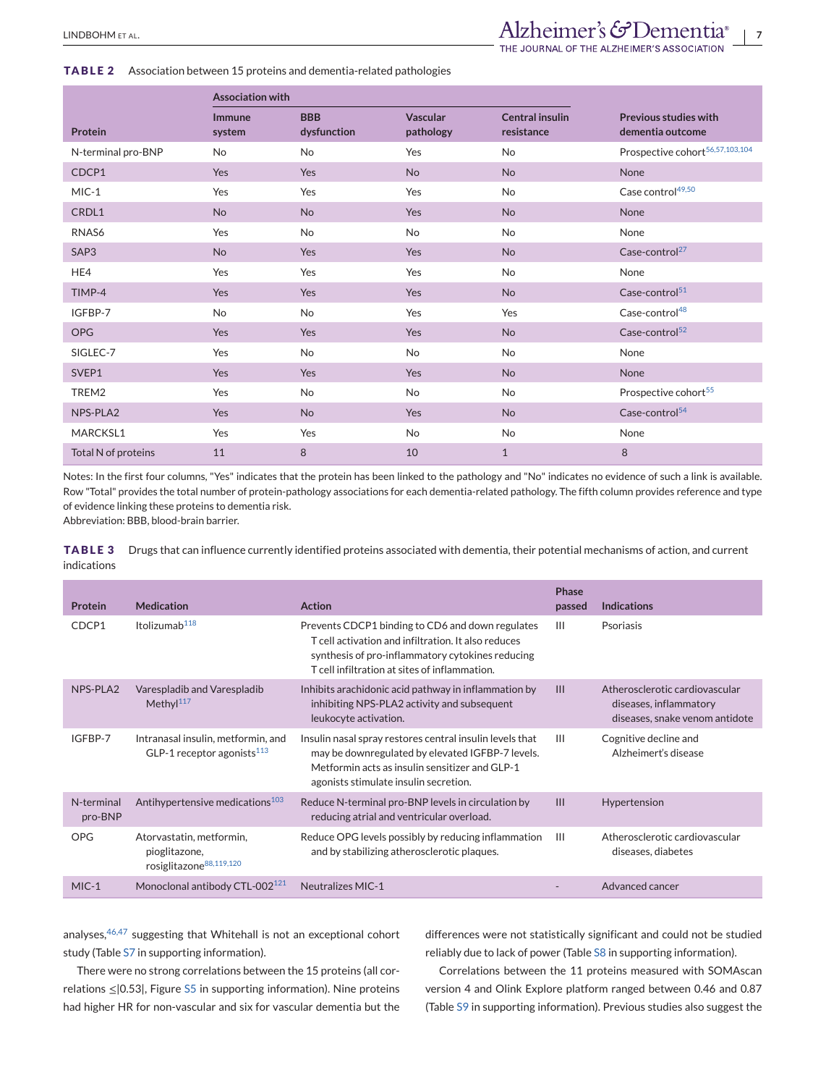<span id="page-6-0"></span>**TABLE 2** Association between 15 proteins and dementia-related pathologies

|                     | <b>Association with</b> |                           |                              |                                      |                                                  |
|---------------------|-------------------------|---------------------------|------------------------------|--------------------------------------|--------------------------------------------------|
| Protein             | <b>Immune</b><br>system | <b>BBB</b><br>dysfunction | <b>Vascular</b><br>pathology | <b>Central insulin</b><br>resistance | <b>Previous studies with</b><br>dementia outcome |
| N-terminal pro-BNP  | <b>No</b>               | <b>No</b>                 | Yes                          | <b>No</b>                            | Prospective cohort <sup>56,57,103,104</sup>      |
| CDCP1               | <b>Yes</b>              | Yes                       | <b>No</b>                    | <b>No</b>                            | None                                             |
| $MIC-1$             | Yes                     | Yes                       | Yes                          | No                                   | Case control <sup>49,50</sup>                    |
| CRDL1               | <b>No</b>               | <b>No</b>                 | Yes                          | <b>No</b>                            | None                                             |
| RNAS6               | Yes                     | <b>No</b>                 | <b>No</b>                    | No                                   | None                                             |
| SAP3                | <b>No</b>               | Yes                       | Yes                          | <b>No</b>                            | Case-control <sup>27</sup>                       |
| HE4                 | Yes                     | Yes                       | Yes                          | No                                   | None                                             |
| TIMP-4              | Yes                     | Yes                       | Yes                          | <b>No</b>                            | Case-control <sup>51</sup>                       |
| IGFBP-7             | <b>No</b>               | No                        | Yes                          | Yes                                  | Case-control <sup>48</sup>                       |
| <b>OPG</b>          | Yes                     | Yes                       | Yes                          | <b>No</b>                            | Case-control $52$                                |
| SIGLEC-7            | Yes                     | <b>No</b>                 | No                           | No                                   | None                                             |
| SVEP1               | Yes                     | Yes                       | Yes                          | <b>No</b>                            | None                                             |
| TREM2               | Yes                     | No                        | No                           | No                                   | Prospective cohort <sup>55</sup>                 |
| NPS-PLA2            | Yes                     | <b>No</b>                 | Yes                          | <b>No</b>                            | Case-control <sup>54</sup>                       |
| MARCKSL1            | Yes                     | Yes                       | <b>No</b>                    | No                                   | None                                             |
| Total N of proteins | 11                      | 8                         | 10                           | $\mathbf{1}$                         | 8                                                |

Notes: In the first four columns, "Yes" indicates that the protein has been linked to the pathology and "No" indicates no evidence of such a link is available. Row "Total" provides the total number of protein-pathology associations for each dementia-related pathology. The fifth column provides reference and type of evidence linking these proteins to dementia risk.

Abbreviation: BBB, blood-brain barrier.

**TABLE 3** Drugs that can influence currently identified proteins associated with dementia, their potential mechanisms of action, and current indications

| Protein               | <b>Medication</b>                                                                | <b>Action</b>                                                                                                                                                                                                | <b>Phase</b><br>passed | <b>Indications</b>                                                                         |
|-----------------------|----------------------------------------------------------------------------------|--------------------------------------------------------------------------------------------------------------------------------------------------------------------------------------------------------------|------------------------|--------------------------------------------------------------------------------------------|
| CDCP1                 | Itolizumab <sup>118</sup>                                                        | Prevents CDCP1 binding to CD6 and down regulates<br>T cell activation and infiltration. It also reduces<br>synthesis of pro-inflammatory cytokines reducing<br>T cell infiltration at sites of inflammation. | $\mathbf{H}$           | Psoriasis                                                                                  |
| NPS-PLA2              | Varespladib and Varespladib<br>Methyl $117$                                      | Inhibits arachidonic acid pathway in inflammation by<br>inhibiting NPS-PLA2 activity and subsequent<br>leukocyte activation.                                                                                 | $\mathbf{III}$         | Atherosclerotic cardiovascular<br>diseases, inflammatory<br>diseases, snake venom antidote |
| IGFBP-7               | Intranasal insulin, metformin, and<br>GLP-1 receptor agonists <sup>113</sup>     | Insulin nasal spray restores central insulin levels that<br>may be downregulated by elevated IGFBP-7 levels.<br>Metformin acts as insulin sensitizer and GLP-1<br>agonists stimulate insulin secretion.      | $\mathbf{H}$           | Cognitive decline and<br>Alzheimert's disease                                              |
| N-terminal<br>pro-BNP | Antihypertensive medications <sup>103</sup>                                      | Reduce N-terminal pro-BNP levels in circulation by<br>reducing atrial and ventricular overload.                                                                                                              | $\mathbf{III}$         | Hypertension                                                                               |
| <b>OPG</b>            | Atorvastatin, metformin,<br>pioglitazone,<br>rosiglitazone <sup>88,119,120</sup> | Reduce OPG levels possibly by reducing inflammation<br>and by stabilizing atherosclerotic plaques.                                                                                                           | $\mathbf{H}$           | Atherosclerotic cardiovascular<br>diseases, diabetes                                       |
| $MIC-1$               | Monoclonal antibody CTL-002 <sup>121</sup>                                       | <b>Neutralizes MIC-1</b>                                                                                                                                                                                     |                        | Advanced cancer                                                                            |

analyses, <sup>[46,47](#page-10-0)</sup> suggesting that Whitehall is not an exceptional cohort study (Table S7 in supporting information).

There were no strong correlations between the 15 proteins (all correlations ≤|0.53|, Figure S5 in supporting information). Nine proteins had higher HR for non-vascular and six for vascular dementia but the

differences were not statistically significant and could not be studied reliably due to lack of power (Table S8 in supporting information).

Correlations between the 11 proteins measured with SOMAscan version 4 and Olink Explore platform ranged between 0.46 and 0.87 (Table S9 in supporting information). Previous studies also suggest the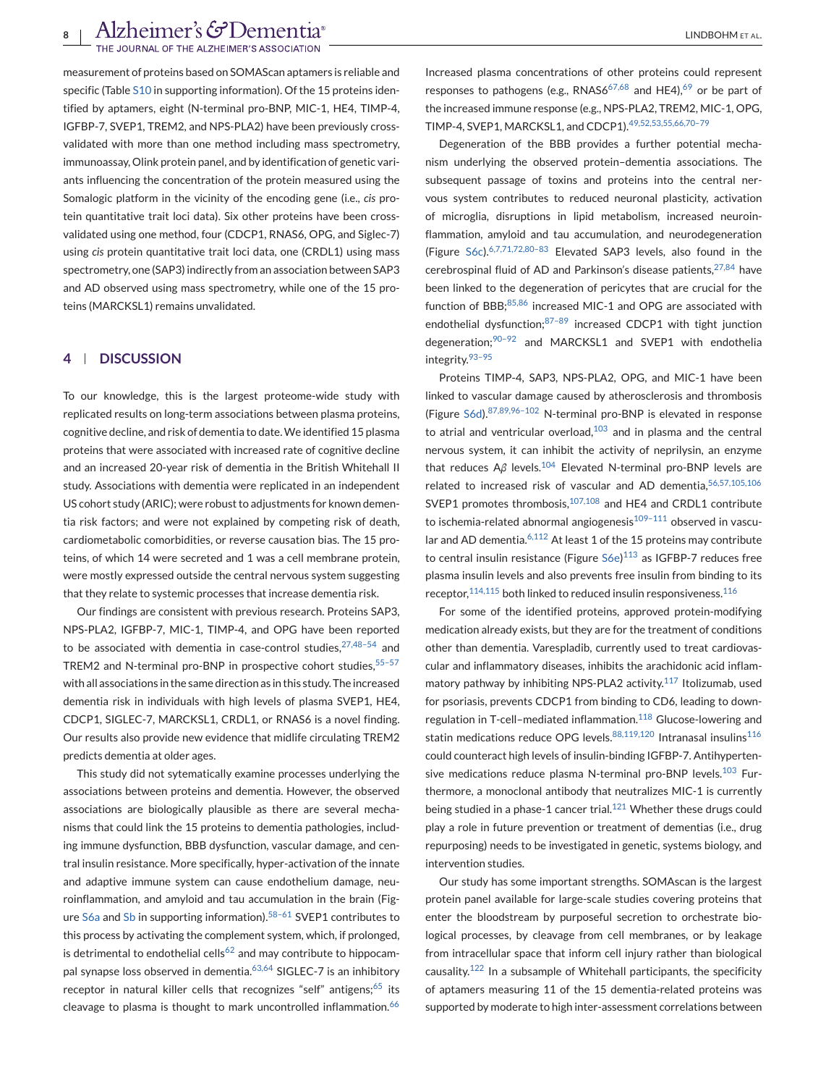measurement of proteins based on SOMAScan aptamers is reliable and specific (Table S10 in supporting information). Of the 15 proteins identified by aptamers, eight (N-terminal pro-BNP, MIC-1, HE4, TIMP-4, IGFBP-7, SVEP1, TREM2, and NPS-PLA2) have been previously crossvalidated with more than one method including mass spectrometry, immunoassay, Olink protein panel, and by identification of genetic variants influencing the concentration of the protein measured using the Somalogic platform in the vicinity of the encoding gene (i.e., *cis* protein quantitative trait loci data). Six other proteins have been crossvalidated using one method, four (CDCP1, RNAS6, OPG, and Siglec-7) using *cis* protein quantitative trait loci data, one (CRDL1) using mass spectrometry, one (SAP3) indirectly from an association between SAP3 and AD observed using mass spectrometry, while one of the 15 proteins (MARCKSL1) remains unvalidated.

# **4 DISCUSSION**

To our knowledge, this is the largest proteome-wide study with replicated results on long-term associations between plasma proteins, cognitive decline, and risk of dementia to date.We identified 15 plasma proteins that were associated with increased rate of cognitive decline and an increased 20-year risk of dementia in the British Whitehall II study. Associations with dementia were replicated in an independent US cohort study (ARIC); were robust to adjustments for known dementia risk factors; and were not explained by competing risk of death, cardiometabolic comorbidities, or reverse causation bias. The 15 proteins, of which 14 were secreted and 1 was a cell membrane protein, were mostly expressed outside the central nervous system suggesting that they relate to systemic processes that increase dementia risk.

Our findings are consistent with previous research. Proteins SAP3, NPS-PLA2, IGFBP-7, MIC-1, TIMP-4, and OPG have been reported to be associated with dementia in case-control studies,  $27,48-54$  and TREM2 and N-terminal pro-BNP in prospective cohort studies, 55-57 with all associations in the same direction as in this study. The increased dementia risk in individuals with high levels of plasma SVEP1, HE4, CDCP1, SIGLEC-7, MARCKSL1, CRDL1, or RNAS6 is a novel finding. Our results also provide new evidence that midlife circulating TREM2 predicts dementia at older ages.

This study did not sytematically examine processes underlying the associations between proteins and dementia. However, the observed associations are biologically plausible as there are several mechanisms that could link the 15 proteins to dementia pathologies, including immune dysfunction, BBB dysfunction, vascular damage, and central insulin resistance. More specifically, hyper-activation of the innate and adaptive immune system can cause endothelium damage, neuroinflammation, and amyloid and tau accumulation in the brain (Figure S6a and Sb in supporting information).<sup>58-61</sup> SVEP1 contributes to this process by activating the complement system, which, if prolonged, is detrimental to endothelial cells<sup>[62](#page-11-0)</sup> and may contribute to hippocam-pal synapse loss observed in dementia.<sup>[63,64](#page-11-0)</sup> SIGLEC-7 is an inhibitory receptor in natural killer cells that recognizes "self" antigens;<sup>[65](#page-11-0)</sup> its cleavage to plasma is thought to mark uncontrolled inflammation.<sup>[66](#page-11-0)</sup>

Increased plasma concentrations of other proteins could represent responses to pathogens (e.g., RNAS6<sup>[67,68](#page-11-0)</sup> and HE4),<sup>[69](#page-11-0)</sup> or be part of the increased immune response (e.g., NPS-PLA2, TREM2, MIC-1, OPG, TIMP-4, SVEP1, MARCKSL1, and CDCP1)[.49,52,53,55,66,70–79](#page-10-0)

Degeneration of the BBB provides a further potential mechanism underlying the observed protein–dementia associations. The subsequent passage of toxins and proteins into the central nervous system contributes to reduced neuronal plasticity, activation of microglia, disruptions in lipid metabolism, increased neuroinflammation, amyloid and tau accumulation, and neurodegeneration (Figure S6c).[6,7,71,72,80–83](#page-9-0) Elevated SAP3 levels, also found in the cerebrospinal fluid of AD and Parkinson's disease patients,  $27,84$  have been linked to the degeneration of pericytes that are crucial for the function of BBB;<sup>[85,86](#page-11-0)</sup> increased MIC-1 and OPG are associated with endothelial dysfunction: $87-89$  increased CDCP1 with tight junction degeneration;[90–92](#page-11-0) and MARCKSL1 and SVEP1 with endothelia integrity.[93–95](#page-11-0)

Proteins TIMP-4, SAP3, NPS-PLA2, OPG, and MIC-1 have been linked to vascular damage caused by atherosclerosis and thrombosis (Figure S6d).[87,89,96–102](#page-11-0) N-terminal pro-BNP is elevated in response to atrial and ventricular overload, $103$  and in plasma and the central nervous system, it can inhibit the activity of neprilysin, an enzyme that reduces Aβ levels.<sup>[104](#page-12-0)</sup> Elevated N-terminal pro-BNP levels are related to increased risk of vascular and AD dementia,  $56,57,105,106$ SVEP1 promotes thrombosis, <sup>[107,108](#page-12-0)</sup> and HE4 and CRDL1 contribute to ischemia-related abnormal angiogenesis $109-111$  observed in vascu-lar and AD dementia.<sup>[6,112](#page-9-0)</sup> At least 1 of the 15 proteins may contribute to central insulin resistance (Figure S6e)<sup>[113](#page-12-0)</sup> as IGFBP-7 reduces free plasma insulin levels and also prevents free insulin from binding to its receptor,  $114,115$  both linked to reduced insulin responsiveness.  $116$ 

For some of the identified proteins, approved protein-modifying medication already exists, but they are for the treatment of conditions other than dementia. Varespladib, currently used to treat cardiovascular and inflammatory diseases, inhibits the arachidonic acid inflam-matory pathway by inhibiting NPS-PLA2 activity.<sup>[117](#page-12-0)</sup> Itolizumab, used for psoriasis, prevents CDCP1 from binding to CD6, leading to down-regulation in T-cell-mediated inflammation.<sup>[118](#page-12-0)</sup> Glucose-lowering and statin medications reduce OPG levels. [88,119,120](#page-11-0) Intranasal insulins<sup>[116](#page-12-0)</sup> could counteract high levels of insulin-binding IGFBP-7. Antihyperten-sive medications reduce plasma N-terminal pro-BNP levels.<sup>[103](#page-12-0)</sup> Furthermore, a monoclonal antibody that neutralizes MIC-1 is currently being studied in a phase-1 cancer trial.<sup>[121](#page-12-0)</sup> Whether these drugs could play a role in future prevention or treatment of dementias (i.e., drug repurposing) needs to be investigated in genetic, systems biology, and intervention studies.

Our study has some important strengths. SOMAscan is the largest protein panel available for large-scale studies covering proteins that enter the bloodstream by purposeful secretion to orchestrate biological processes, by cleavage from cell membranes, or by leakage from intracellular space that inform cell injury rather than biological causality.[122](#page-12-0) In a subsample of Whitehall participants, the specificity of aptamers measuring 11 of the 15 dementia-related proteins was supported by moderate to high inter-assessment correlations between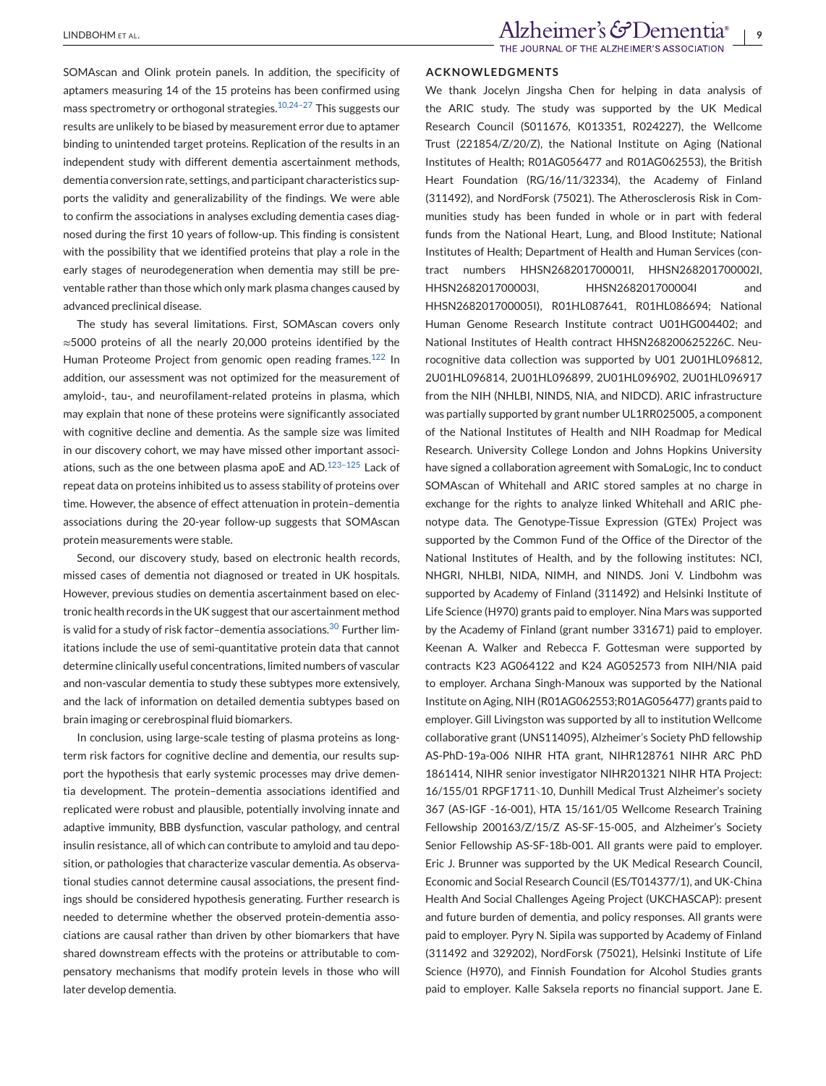SOMAscan and Olink protein panels. In addition, the specificity of aptamers measuring 14 of the 15 proteins has been confirmed using mass spectrometry or orthogonal strategies.<sup>10,24-27</sup> This suggests our results are unlikely to be biased by measurement error due to aptamer binding to unintended target proteins. Replication of the results in an independent study with different dementia ascertainment methods, dementia conversion rate, settings, and participant characteristics supports the validity and generalizability of the findings. We were able to confirm the associations in analyses excluding dementia cases diagnosed during the first 10 years of follow-up. This finding is consistent with the possibility that we identified proteins that play a role in the early stages of neurodegeneration when dementia may still be preventable rather than those which only mark plasma changes caused by advanced preclinical disease.

The study has several limitations. First, SOMAscan covers only ≈5000 proteins of all the nearly 20,000 proteins identified by the Human Proteome Project from genomic open reading frames.<sup>[122](#page-12-0)</sup> In addition, our assessment was not optimized for the measurement of amyloid-, tau-, and neurofilament-related proteins in plasma, which may explain that none of these proteins were significantly associated with cognitive decline and dementia. As the sample size was limited in our discovery cohort, we may have missed other important associations, such as the one between plasma apoE and AD. $123-125$  Lack of repeat data on proteins inhibited us to assess stability of proteins over time. However, the absence of effect attenuation in protein–dementia associations during the 20-year follow-up suggests that SOMAscan protein measurements were stable.

Second, our discovery study, based on electronic health records, missed cases of dementia not diagnosed or treated in UK hospitals. However, previous studies on dementia ascertainment based on electronic health records in the UK suggest that our ascertainment method is valid for a study of risk factor-dementia associations.<sup>[30](#page-10-0)</sup> Further limitations include the use of semi-quantitative protein data that cannot determine clinically useful concentrations, limited numbers of vascular and non-vascular dementia to study these subtypes more extensively, and the lack of information on detailed dementia subtypes based on brain imaging or cerebrospinal fluid biomarkers.

In conclusion, using large-scale testing of plasma proteins as longterm risk factors for cognitive decline and dementia, our results support the hypothesis that early systemic processes may drive dementia development. The protein–dementia associations identified and replicated were robust and plausible, potentially involving innate and adaptive immunity, BBB dysfunction, vascular pathology, and central insulin resistance, all of which can contribute to amyloid and tau deposition, or pathologies that characterize vascular dementia. As observational studies cannot determine causal associations, the present findings should be considered hypothesis generating. Further research is needed to determine whether the observed protein-dementia associations are causal rather than driven by other biomarkers that have shared downstream effects with the proteins or attributable to compensatory mechanisms that modify protein levels in those who will later develop dementia.

#### **ACKNOWLEDGMENTS**

We thank Jocelyn Jingsha Chen for helping in data analysis of the ARIC study. The study was supported by the UK Medical Research Council (S011676, K013351, R024227), the Wellcome Trust (221854/Z/20/Z), the National Institute on Aging (National Institutes of Health; R01AG056477 and R01AG062553), the British Heart Foundation (RG/16/11/32334), the Academy of Finland (311492), and NordForsk (75021). The Atherosclerosis Risk in Communities study has been funded in whole or in part with federal funds from the National Heart, Lung, and Blood Institute; National Institutes of Health; Department of Health and Human Services (contract numbers HHSN268201700001I, HHSN268201700002I, HHSN268201700003I, HHSN268201700004I and HHSN268201700005I), R01HL087641, R01HL086694; National Human Genome Research Institute contract U01HG004402; and National Institutes of Health contract HHSN268200625226C. Neurocognitive data collection was supported by U01 2U01HL096812, 2U01HL096814, 2U01HL096899, 2U01HL096902, 2U01HL096917 from the NIH (NHLBI, NINDS, NIA, and NIDCD). ARIC infrastructure was partially supported by grant number UL1RR025005, a component of the National Institutes of Health and NIH Roadmap for Medical Research. University College London and Johns Hopkins University have signed a collaboration agreement with SomaLogic, Inc to conduct SOMAscan of Whitehall and ARIC stored samples at no charge in exchange for the rights to analyze linked Whitehall and ARIC phenotype data. The Genotype-Tissue Expression (GTEx) Project was supported by the Common Fund of the Office of the Director of the National Institutes of Health, and by the following institutes: NCI, NHGRI, NHLBI, NIDA, NIMH, and NINDS. Joni V. Lindbohm was supported by Academy of Finland (311492) and Helsinki Institute of Life Science (H970) grants paid to employer. Nina Mars was supported by the Academy of Finland (grant number 331671) paid to employer. Keenan A. Walker and Rebecca F. Gottesman were supported by contracts K23 AG064122 and K24 AG052573 from NIH/NIA paid to employer. Archana Singh-Manoux was supported by the National Institute on Aging, NIH (R01AG062553;R01AG056477) grants paid to employer. Gill Livingston was supported by all to institution Wellcome collaborative grant (UNS114095), Alzheimer's Society PhD fellowship AS-PhD-19a-006 NIHR HTA grant, NIHR128761 NIHR ARC PhD 1861414, NIHR senior investigator NIHR201321 NIHR HTA Project: 16/155/01 RPGF1711∖10, Dunhill Medical Trust Alzheimer's society 367 (AS-IGF -16-001), HTA 15/161/05 Wellcome Research Training Fellowship 200163/Z/15/Z AS-SF-15-005, and Alzheimer's Society Senior Fellowship AS-SF-18b-001. All grants were paid to employer. Eric J. Brunner was supported by the UK Medical Research Council, Economic and Social Research Council (ES/T014377/1), and UK-China Health And Social Challenges Ageing Project (UKCHASCAP): present and future burden of dementia, and policy responses. All grants were paid to employer. Pyry N. Sipila was supported by Academy of Finland (311492 and 329202), NordForsk (75021), Helsinki Institute of Life Science (H970), and Finnish Foundation for Alcohol Studies grants paid to employer. Kalle Saksela reports no financial support. Jane E.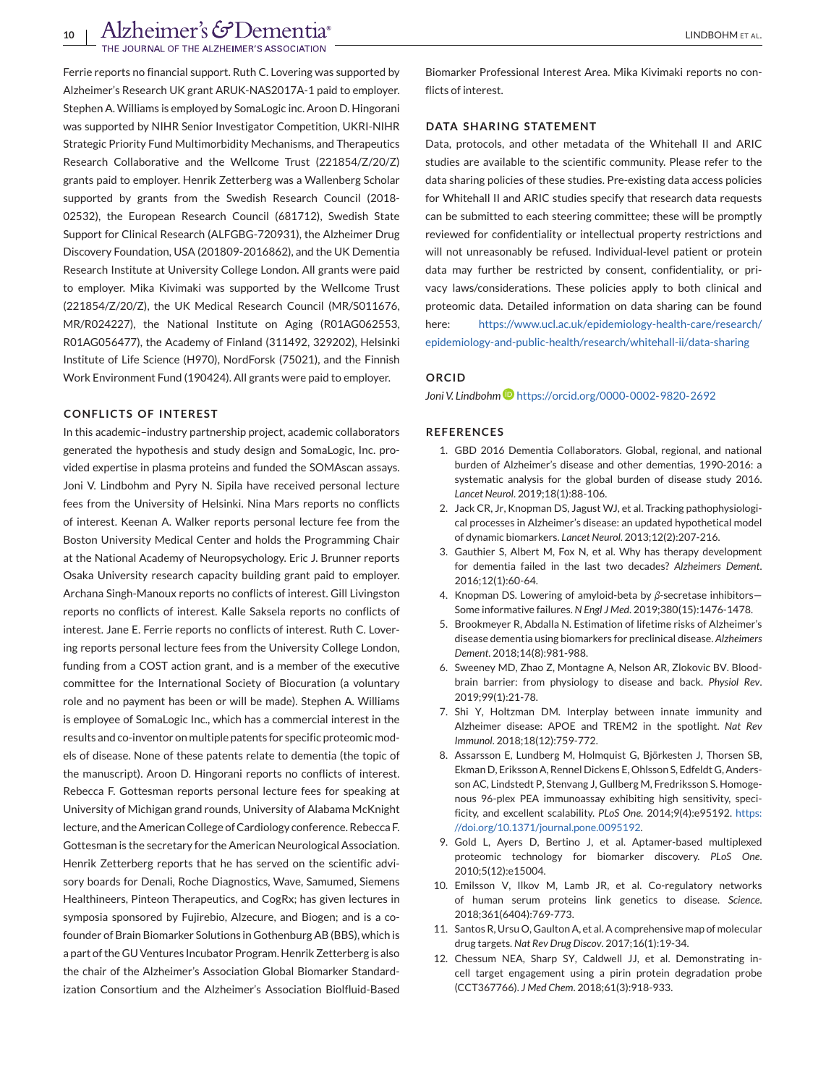<span id="page-9-0"></span>Ferrie reports no financial support. Ruth C. Lovering was supported by Alzheimer's Research UK grant ARUK-NAS2017A-1 paid to employer. Stephen A. Williams is employed by SomaLogic inc. Aroon D. Hingorani was supported by NIHR Senior Investigator Competition, UKRI-NIHR Strategic Priority Fund Multimorbidity Mechanisms, and Therapeutics Research Collaborative and the Wellcome Trust (221854/Z/20/Z) grants paid to employer. Henrik Zetterberg was a Wallenberg Scholar supported by grants from the Swedish Research Council (2018- 02532), the European Research Council (681712), Swedish State Support for Clinical Research (ALFGBG-720931), the Alzheimer Drug Discovery Foundation, USA (201809-2016862), and the UK Dementia Research Institute at University College London. All grants were paid to employer. Mika Kivimaki was supported by the Wellcome Trust (221854/Z/20/Z), the UK Medical Research Council (MR/S011676, MR/R024227), the National Institute on Aging (R01AG062553, R01AG056477), the Academy of Finland (311492, 329202), Helsinki Institute of Life Science (H970), NordForsk (75021), and the Finnish Work Environment Fund (190424). All grants were paid to employer.

## **CONFLICTS OF INTEREST**

In this academic–industry partnership project, academic collaborators generated the hypothesis and study design and SomaLogic, Inc. provided expertise in plasma proteins and funded the SOMAscan assays. Joni V. Lindbohm and Pyry N. Sipila have received personal lecture fees from the University of Helsinki. Nina Mars reports no conflicts of interest. Keenan A. Walker reports personal lecture fee from the Boston University Medical Center and holds the Programming Chair at the National Academy of Neuropsychology. Eric J. Brunner reports Osaka University research capacity building grant paid to employer. Archana Singh-Manoux reports no conflicts of interest. Gill Livingston reports no conflicts of interest. Kalle Saksela reports no conflicts of interest. Jane E. Ferrie reports no conflicts of interest. Ruth C. Lovering reports personal lecture fees from the University College London, funding from a COST action grant, and is a member of the executive committee for the International Society of Biocuration (a voluntary role and no payment has been or will be made). Stephen A. Williams is employee of SomaLogic Inc., which has a commercial interest in the results and co-inventor on multiple patents for specific proteomic models of disease. None of these patents relate to dementia (the topic of the manuscript). Aroon D. Hingorani reports no conflicts of interest. Rebecca F. Gottesman reports personal lecture fees for speaking at University of Michigan grand rounds, University of Alabama McKnight lecture, and the American College of Cardiology conference. Rebecca F. Gottesman is the secretary for the American Neurological Association. Henrik Zetterberg reports that he has served on the scientific advisory boards for Denali, Roche Diagnostics, Wave, Samumed, Siemens Healthineers, Pinteon Therapeutics, and CogRx; has given lectures in symposia sponsored by Fujirebio, Alzecure, and Biogen; and is a cofounder of Brain Biomarker Solutions in Gothenburg AB (BBS), which is a part of the GU Ventures Incubator Program. Henrik Zetterberg is also the chair of the Alzheimer's Association Global Biomarker Standardization Consortium and the Alzheimer's Association Biolfluid-Based

Biomarker Professional Interest Area. Mika Kivimaki reports no conflicts of interest.

#### **DATA SHARING STATEMENT**

Data, protocols, and other metadata of the Whitehall II and ARIC studies are available to the scientific community. Please refer to the data sharing policies of these studies. Pre-existing data access policies for Whitehall II and ARIC studies specify that research data requests can be submitted to each steering committee; these will be promptly reviewed for confidentiality or intellectual property restrictions and will not unreasonably be refused. Individual-level patient or protein data may further be restricted by consent, confidentiality, or privacy laws/considerations. These policies apply to both clinical and proteomic data. Detailed information on data sharing can be found here: [https://www.ucl.ac.uk/epidemiology-health-care/research/](https://www.ucl.ac.uk/epidemiology-health-care/research/epidemiology-and-public-health/research/whitehall-ii/data-sharing) [epidemiology-and-public-health/research/whitehall-ii/data-sharing](https://www.ucl.ac.uk/epidemiology-health-care/research/epidemiology-and-public-health/research/whitehall-ii/data-sharing)

#### **ORCID**

*Joni V. Lindboh[m](https://orcid.org/0000-0002-9820-2692)* <https://orcid.org/0000-0002-9820-2692>

#### **REFERENCES**

- 1. GBD 2016 Dementia Collaborators. Global, regional, and national burden of Alzheimer's disease and other dementias, 1990-2016: a systematic analysis for the global burden of disease study 2016. *Lancet Neurol*. 2019;18(1):88-106.
- 2. Jack CR, Jr, Knopman DS, Jagust WJ, et al. Tracking pathophysiological processes in Alzheimer's disease: an updated hypothetical model of dynamic biomarkers. *Lancet Neurol*. 2013;12(2):207-216.
- 3. Gauthier S, Albert M, Fox N, et al. Why has therapy development for dementia failed in the last two decades? *Alzheimers Dement*. 2016;12(1):60-64.
- 4. Knopman DS. Lowering of amyloid-beta by *β*-secretase inhibitors— Some informative failures. *N Engl J Med*. 2019;380(15):1476-1478.
- 5. Brookmeyer R, Abdalla N. Estimation of lifetime risks of Alzheimer's disease dementia using biomarkers for preclinical disease. *Alzheimers Dement*. 2018;14(8):981-988.
- 6. Sweeney MD, Zhao Z, Montagne A, Nelson AR, Zlokovic BV. Bloodbrain barrier: from physiology to disease and back. *Physiol Rev*. 2019;99(1):21-78.
- 7. Shi Y, Holtzman DM. Interplay between innate immunity and Alzheimer disease: APOE and TREM2 in the spotlight. *Nat Rev Immunol*. 2018;18(12):759-772.
- 8. Assarsson E, Lundberg M, Holmquist G, Björkesten J, Thorsen SB, Ekman D, Eriksson A, Rennel Dickens E, Ohlsson S, Edfeldt G, Andersson AC, Lindstedt P, Stenvang J, Gullberg M, Fredriksson S. Homogenous 96-plex PEA immunoassay exhibiting high sensitivity, specificity, and excellent scalability. *PLoS One*. 2014;9(4):e95192. [https:](https://doi.org/10.1371/journal.pone.0095192) [//doi.org/10.1371/journal.pone.0095192.](https://doi.org/10.1371/journal.pone.0095192)
- 9. Gold L, Ayers D, Bertino J, et al. Aptamer-based multiplexed proteomic technology for biomarker discovery. *PLoS One*. 2010;5(12):e15004.
- 10. Emilsson V, Ilkov M, Lamb JR, et al. Co-regulatory networks of human serum proteins link genetics to disease. *Science*. 2018;361(6404):769-773.
- 11. Santos R, Ursu O, Gaulton A, et al. A comprehensive map of molecular drug targets. *Nat Rev Drug Discov*. 2017;16(1):19-34.
- 12. Chessum NEA, Sharp SY, Caldwell JJ, et al. Demonstrating incell target engagement using a pirin protein degradation probe (CCT367766). *J Med Chem*. 2018;61(3):918-933.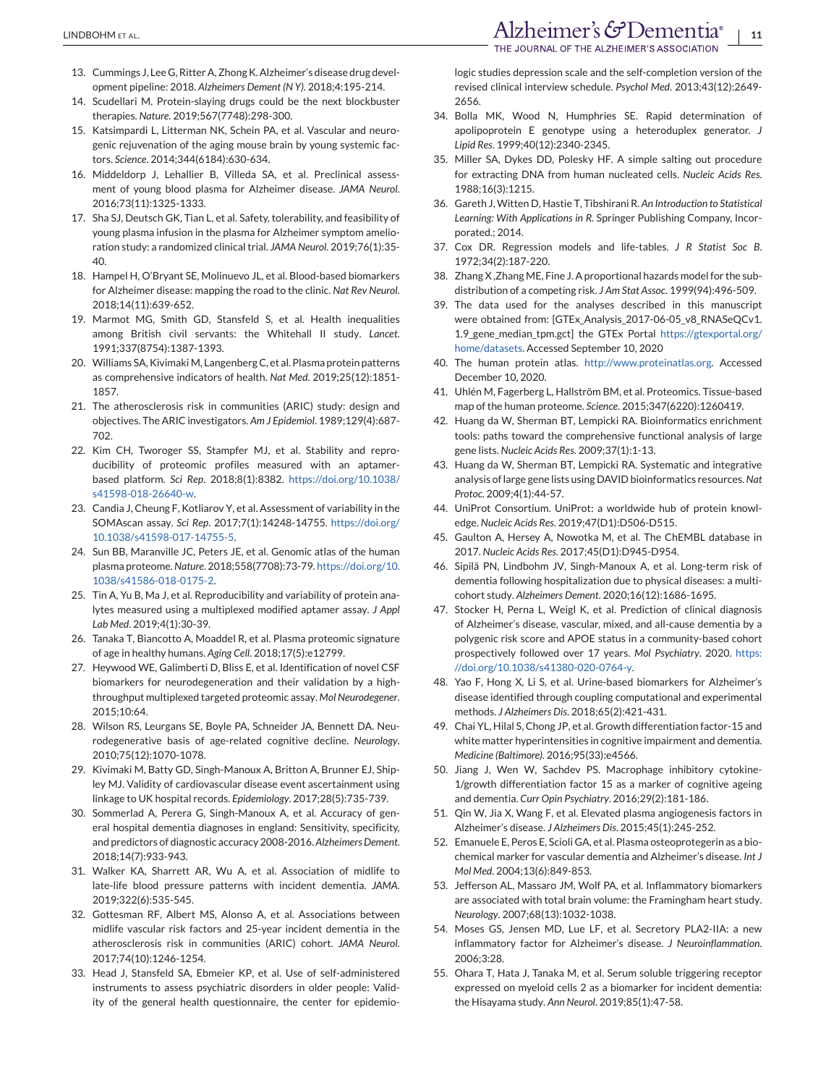- <span id="page-10-0"></span>13. Cummings J, Lee G, Ritter A, Zhong K. Alzheimer's disease drug development pipeline: 2018. *Alzheimers Dement (N Y)*. 2018;4:195-214.
- 14. Scudellari M. Protein-slaying drugs could be the next blockbuster therapies. *Nature*. 2019;567(7748):298-300.
- 15. Katsimpardi L, Litterman NK, Schein PA, et al. Vascular and neurogenic rejuvenation of the aging mouse brain by young systemic factors. *Science*. 2014;344(6184):630-634.
- 16. Middeldorp J, Lehallier B, Villeda SA, et al. Preclinical assessment of young blood plasma for Alzheimer disease. *JAMA Neurol*. 2016;73(11):1325-1333.
- 17. Sha SJ, Deutsch GK, Tian L, et al. Safety, tolerability, and feasibility of young plasma infusion in the plasma for Alzheimer symptom amelioration study: a randomized clinical trial. *JAMA Neurol*. 2019;76(1):35- 40.
- 18. Hampel H, O'Bryant SE, Molinuevo JL, et al. Blood-based biomarkers for Alzheimer disease: mapping the road to the clinic. *Nat Rev Neurol*. 2018;14(11):639-652.
- 19. Marmot MG, Smith GD, Stansfeld S, et al. Health inequalities among British civil servants: the Whitehall II study. *Lancet*. 1991;337(8754):1387-1393.
- 20. Williams SA, Kivimaki M, Langenberg C, et al. Plasma protein patterns as comprehensive indicators of health. *Nat Med*. 2019;25(12):1851- 1857.
- 21. The atherosclerosis risk in communities (ARIC) study: design and objectives. The ARIC investigators. *Am J Epidemiol*. 1989;129(4):687- 702.
- 22. Kim CH, Tworoger SS, Stampfer MJ, et al. Stability and reproducibility of proteomic profiles measured with an aptamerbased platform. *Sci Rep*. 2018;8(1):8382. [https://doi.org/10.1038/](https://doi.org/10.1038/s41598-018-26640-w) [s41598-018-26640-w.](https://doi.org/10.1038/s41598-018-26640-w)
- 23. Candia J, Cheung F, Kotliarov Y, et al. Assessment of variability in the SOMAscan assay. *Sci Rep*. 2017;7(1):14248-14755. [https://doi.org/](https://doi.org/10.1038/s41598-017-14755-5) [10.1038/s41598-017-14755-5.](https://doi.org/10.1038/s41598-017-14755-5)
- 24. Sun BB, Maranville JC, Peters JE, et al. Genomic atlas of the human plasma proteome.*Nature*. 2018;558(7708):73-79. [https://doi.org/10.](https://doi.org/10.1038/s41586-018-0175-2) [1038/s41586-018-0175-2.](https://doi.org/10.1038/s41586-018-0175-2)
- 25. Tin A, Yu B, Ma J, et al. Reproducibility and variability of protein analytes measured using a multiplexed modified aptamer assay. *J Appl Lab Med*. 2019;4(1):30-39.
- 26. Tanaka T, Biancotto A, Moaddel R, et al. Plasma proteomic signature of age in healthy humans. *Aging Cell*. 2018;17(5):e12799.
- 27. Heywood WE, Galimberti D, Bliss E, et al. Identification of novel CSF biomarkers for neurodegeneration and their validation by a highthroughput multiplexed targeted proteomic assay. *Mol Neurodegener*. 2015;10:64.
- 28. Wilson RS, Leurgans SE, Boyle PA, Schneider JA, Bennett DA. Neurodegenerative basis of age-related cognitive decline. *Neurology*. 2010;75(12):1070-1078.
- 29. Kivimaki M, Batty GD, Singh-Manoux A, Britton A, Brunner EJ, Shipley MJ. Validity of cardiovascular disease event ascertainment using linkage to UK hospital records. *Epidemiology*. 2017;28(5):735-739.
- 30. Sommerlad A, Perera G, Singh-Manoux A, et al. Accuracy of general hospital dementia diagnoses in england: Sensitivity, specificity, and predictors of diagnostic accuracy 2008-2016. *Alzheimers Dement*. 2018;14(7):933-943.
- 31. Walker KA, Sharrett AR, Wu A, et al. Association of midlife to late-life blood pressure patterns with incident dementia. *JAMA*. 2019;322(6):535-545.
- 32. Gottesman RF, Albert MS, Alonso A, et al. Associations between midlife vascular risk factors and 25-year incident dementia in the atherosclerosis risk in communities (ARIC) cohort. *JAMA Neurol*. 2017;74(10):1246-1254.
- 33. Head J, Stansfeld SA, Ebmeier KP, et al. Use of self-administered instruments to assess psychiatric disorders in older people: Validity of the general health questionnaire, the center for epidemio-

logic studies depression scale and the self-completion version of the revised clinical interview schedule. *Psychol Med*. 2013;43(12):2649- 2656.

- 34. Bolla MK, Wood N, Humphries SE. Rapid determination of apolipoprotein E genotype using a heteroduplex generator. *J Lipid Res*. 1999;40(12):2340-2345.
- 35. Miller SA, Dykes DD, Polesky HF. A simple salting out procedure for extracting DNA from human nucleated cells. *Nucleic Acids Res*. 1988;16(3):1215.
- 36. Gareth J,Witten D, Hastie T, Tibshirani R. *An Introduction to Statistical Learning: With Applications in R*. Springer Publishing Company, Incorporated.; 2014.
- 37. Cox DR. Regression models and life-tables. *J R Statist Soc B*. 1972;34(2):187-220.
- 38. Zhang X ,Zhang ME, Fine J. A proportional hazards model for the subdistribution of a competing risk. *J Am Stat Assoc*. 1999(94):496-509.
- 39. The data used for the analyses described in this manuscript were obtained from: [GTEx\_Analysis\_2017-06-05\_v8\_RNASeQCv1. 1.9\_gene\_median\_tpm.gct] the GTEx Portal [https://gtexportal.org/](https://gtexportal.org/home/datasets) [home/datasets.](https://gtexportal.org/home/datasets) Accessed September 10, 2020
- 40. The human protein atlas. [http://www.proteinatlas.org.](http://www.proteinatlas.org) Accessed December 10, 2020.
- 41. Uhlén M, Fagerberg L, Hallström BM, et al. Proteomics. Tissue-based map of the human proteome. *Science*. 2015;347(6220):1260419.
- 42. Huang da W, Sherman BT, Lempicki RA. Bioinformatics enrichment tools: paths toward the comprehensive functional analysis of large gene lists. *Nucleic Acids Res*. 2009;37(1):1-13.
- 43. Huang da W, Sherman BT, Lempicki RA. Systematic and integrative analysis of large gene lists using DAVID bioinformatics resources.*Nat Protoc*. 2009;4(1):44-57.
- 44. UniProt Consortium. UniProt: a worldwide hub of protein knowledge. *Nucleic Acids Res*. 2019;47(D1):D506-D515.
- 45. Gaulton A, Hersey A, Nowotka M, et al. The ChEMBL database in 2017. *Nucleic Acids Res*. 2017;45(D1):D945-D954.
- 46. Sipilä PN, Lindbohm JV, Singh-Manoux A, et al. Long-term risk of dementia following hospitalization due to physical diseases: a multicohort study. *Alzheimers Dement*. 2020;16(12):1686-1695.
- 47. Stocker H, Perna L, Weigl K, et al. Prediction of clinical diagnosis of Alzheimer's disease, vascular, mixed, and all-cause dementia by a polygenic risk score and APOE status in a community-based cohort prospectively followed over 17 years. *Mol Psychiatry*. 2020. [https:](https://doi.org/10.1038/s41380-020-0764-y) [//doi.org/10.1038/s41380-020-0764-y.](https://doi.org/10.1038/s41380-020-0764-y)
- 48. Yao F, Hong X, Li S, et al. Urine-based biomarkers for Alzheimer's disease identified through coupling computational and experimental methods. *J Alzheimers Dis*. 2018;65(2):421-431.
- 49. Chai YL, Hilal S, Chong JP, et al. Growth differentiation factor-15 and white matter hyperintensities in cognitive impairment and dementia. *Medicine (Baltimore)*. 2016;95(33):e4566.
- 50. Jiang J, Wen W, Sachdev PS. Macrophage inhibitory cytokine-1/growth differentiation factor 15 as a marker of cognitive ageing and dementia. *Curr Opin Psychiatry*. 2016;29(2):181-186.
- 51. Qin W, Jia X, Wang F, et al. Elevated plasma angiogenesis factors in Alzheimer's disease. *J Alzheimers Dis*. 2015;45(1):245-252.
- 52. Emanuele E, Peros E, Scioli GA, et al. Plasma osteoprotegerin as a biochemical marker for vascular dementia and Alzheimer's disease. *Int J Mol Med*. 2004;13(6):849-853.
- 53. Jefferson AL, Massaro JM, Wolf PA, et al. Inflammatory biomarkers are associated with total brain volume: the Framingham heart study. *Neurology*. 2007;68(13):1032-1038.
- 54. Moses GS, Jensen MD, Lue LF, et al. Secretory PLA2-IIA: a new inflammatory factor for Alzheimer's disease. *J Neuroinflammation*. 2006;3:28.
- 55. Ohara T, Hata J, Tanaka M, et al. Serum soluble triggering receptor expressed on myeloid cells 2 as a biomarker for incident dementia: the Hisayama study. *Ann Neurol*. 2019;85(1):47-58.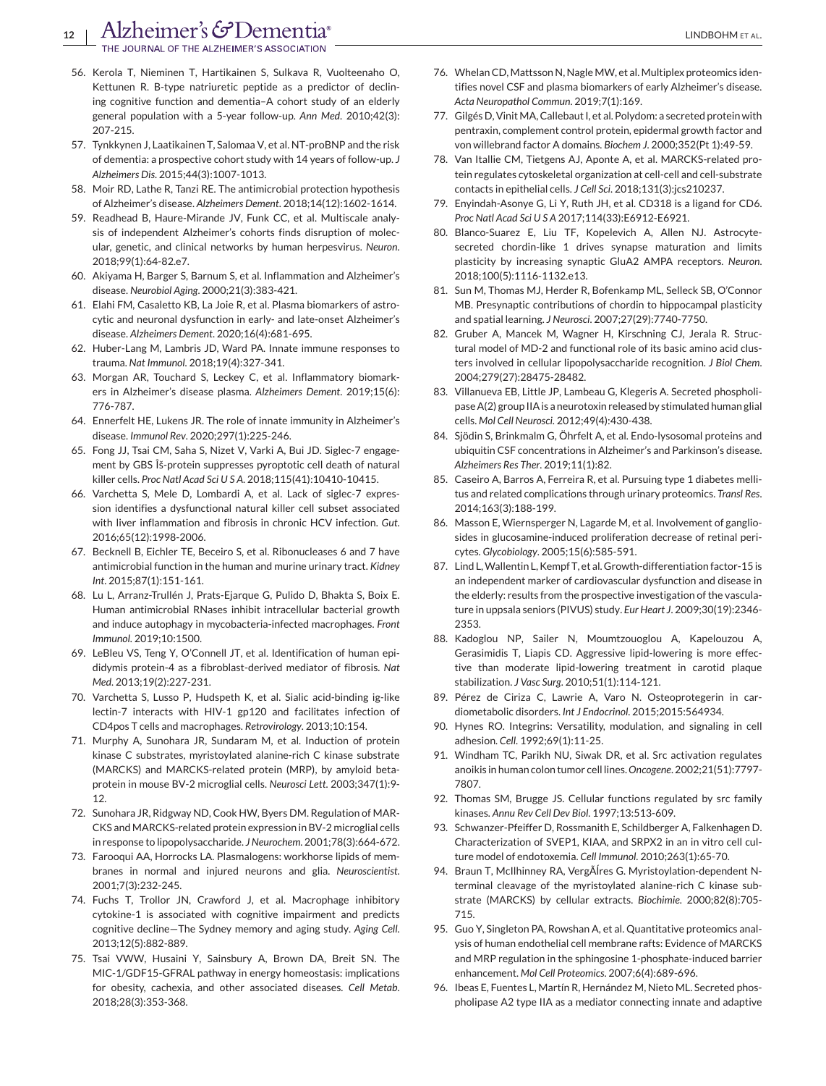- <span id="page-11-0"></span>56. Kerola T, Nieminen T, Hartikainen S, Sulkava R, Vuolteenaho O, Kettunen R. B-type natriuretic peptide as a predictor of declining cognitive function and dementia–A cohort study of an elderly general population with a 5-year follow-up. *Ann Med*. 2010;42(3): 207-215.
- 57. Tynkkynen J, Laatikainen T, Salomaa V, et al. NT-proBNP and the risk of dementia: a prospective cohort study with 14 years of follow-up. *J Alzheimers Dis*. 2015;44(3):1007-1013.
- 58. Moir RD, Lathe R, Tanzi RE. The antimicrobial protection hypothesis of Alzheimer's disease. *Alzheimers Dement*. 2018;14(12):1602-1614.
- 59. Readhead B, Haure-Mirande JV, Funk CC, et al. Multiscale analysis of independent Alzheimer's cohorts finds disruption of molecular, genetic, and clinical networks by human herpesvirus. *Neuron*. 2018;99(1):64-82.e7.
- 60. Akiyama H, Barger S, Barnum S, et al. Inflammation and Alzheimer's disease. *Neurobiol Aging*. 2000;21(3):383-421.
- 61. Elahi FM, Casaletto KB, La Joie R, et al. Plasma biomarkers of astrocytic and neuronal dysfunction in early- and late-onset Alzheimer's disease. *Alzheimers Dement*. 2020;16(4):681-695.
- 62. Huber-Lang M, Lambris JD, Ward PA. Innate immune responses to trauma. *Nat Immunol*. 2018;19(4):327-341.
- 63. Morgan AR, Touchard S, Leckey C, et al. Inflammatory biomarkers in Alzheimer's disease plasma. *Alzheimers Dement*. 2019;15(6): 776-787.
- 64. Ennerfelt HE, Lukens JR. The role of innate immunity in Alzheimer's disease. *Immunol Rev*. 2020;297(1):225-246.
- 65. Fong JJ, Tsai CM, Saha S, Nizet V, Varki A, Bui JD. Siglec-7 engagement by GBS Κ-protein suppresses pyroptotic cell death of natural killer cells. *Proc Natl Acad Sci U S A*. 2018;115(41):10410-10415.
- 66. Varchetta S, Mele D, Lombardi A, et al. Lack of siglec-7 expression identifies a dysfunctional natural killer cell subset associated with liver inflammation and fibrosis in chronic HCV infection. *Gut*. 2016;65(12):1998-2006.
- 67. Becknell B, Eichler TE, Beceiro S, et al. Ribonucleases 6 and 7 have antimicrobial function in the human and murine urinary tract. *Kidney Int*. 2015;87(1):151-161.
- 68. Lu L, Arranz-Trullén J, Prats-Ejarque G, Pulido D, Bhakta S, Boix E. Human antimicrobial RNases inhibit intracellular bacterial growth and induce autophagy in mycobacteria-infected macrophages. *Front Immunol*. 2019;10:1500.
- 69. LeBleu VS, Teng Y, O'Connell JT, et al. Identification of human epididymis protein-4 as a fibroblast-derived mediator of fibrosis. *Nat Med*. 2013;19(2):227-231.
- 70. Varchetta S, Lusso P, Hudspeth K, et al. Sialic acid-binding ig-like lectin-7 interacts with HIV-1 gp120 and facilitates infection of CD4pos T cells and macrophages. *Retrovirology*. 2013;10:154.
- 71. Murphy A, Sunohara JR, Sundaram M, et al. Induction of protein kinase C substrates, myristoylated alanine-rich C kinase substrate (MARCKS) and MARCKS-related protein (MRP), by amyloid betaprotein in mouse BV-2 microglial cells. *Neurosci Lett*. 2003;347(1):9- 12.
- 72. Sunohara JR, Ridgway ND, Cook HW, Byers DM. Regulation of MAR-CKS and MARCKS-related protein expression in BV-2 microglial cells in response to lipopolysaccharide. *J Neurochem*. 2001;78(3):664-672.
- 73. Farooqui AA, Horrocks LA. Plasmalogens: workhorse lipids of membranes in normal and injured neurons and glia. *Neuroscientist*. 2001;7(3):232-245.
- 74. Fuchs T, Trollor JN, Crawford J, et al. Macrophage inhibitory cytokine-1 is associated with cognitive impairment and predicts cognitive decline—The Sydney memory and aging study. *Aging Cell*. 2013;12(5):882-889.
- 75. Tsai VWW, Husaini Y, Sainsbury A, Brown DA, Breit SN. The MIC-1/GDF15-GFRAL pathway in energy homeostasis: implications for obesity, cachexia, and other associated diseases. *Cell Metab*. 2018;28(3):353-368.
- 76. Whelan CD, Mattsson N, Nagle MW, et al. Multiplex proteomics identifies novel CSF and plasma biomarkers of early Alzheimer's disease. *Acta Neuropathol Commun*. 2019;7(1):169.
- 77. Gilgés D, Vinit MA, Callebaut I, et al. Polydom: a secreted protein with pentraxin, complement control protein, epidermal growth factor and von willebrand factor A domains. *Biochem J*. 2000;352(Pt 1):49-59.
- 78. Van Itallie CM, Tietgens AJ, Aponte A, et al. MARCKS-related protein regulates cytoskeletal organization at cell-cell and cell-substrate contacts in epithelial cells. *J Cell Sci*. 2018;131(3):jcs210237.
- 79. Enyindah-Asonye G, Li Y, Ruth JH, et al. CD318 is a ligand for CD6. *Proc Natl Acad Sci U S A* 2017;114(33):E6912-E6921.
- 80. Blanco-Suarez E, Liu TF, Kopelevich A, Allen NJ. Astrocytesecreted chordin-like 1 drives synapse maturation and limits plasticity by increasing synaptic GluA2 AMPA receptors. *Neuron*. 2018;100(5):1116-1132.e13.
- 81. Sun M, Thomas MJ, Herder R, Bofenkamp ML, Selleck SB, O'Connor MB. Presynaptic contributions of chordin to hippocampal plasticity and spatial learning. *J Neurosci*. 2007;27(29):7740-7750.
- 82. Gruber A, Mancek M, Wagner H, Kirschning CJ, Jerala R. Structural model of MD-2 and functional role of its basic amino acid clusters involved in cellular lipopolysaccharide recognition. *J Biol Chem*. 2004;279(27):28475-28482.
- 83. Villanueva EB, Little JP, Lambeau G, Klegeris A. Secreted phospholipase A(2) group IIA is a neurotoxin released by stimulated human glial cells. *Mol Cell Neurosci*. 2012;49(4):430-438.
- 84. Sjödin S, Brinkmalm G, Öhrfelt A, et al. Endo-lysosomal proteins and ubiquitin CSF concentrations in Alzheimer's and Parkinson's disease. *Alzheimers Res Ther*. 2019;11(1):82.
- 85. Caseiro A, Barros A, Ferreira R, et al. Pursuing type 1 diabetes mellitus and related complications through urinary proteomics. *Transl Res*. 2014;163(3):188-199.
- 86. Masson E, Wiernsperger N, Lagarde M, et al. Involvement of gangliosides in glucosamine-induced proliferation decrease of retinal pericytes. *Glycobiology*. 2005;15(6):585-591.
- 87. Lind L,Wallentin L, Kempf T, et al. Growth-differentiation factor-15 is an independent marker of cardiovascular dysfunction and disease in the elderly: results from the prospective investigation of the vasculature in uppsala seniors (PIVUS) study. *Eur Heart J*. 2009;30(19):2346- 2353.
- 88. Kadoglou NP, Sailer N, Moumtzouoglou A, Kapelouzou A, Gerasimidis T, Liapis CD. Aggressive lipid-lowering is more effective than moderate lipid-lowering treatment in carotid plaque stabilization. *J Vasc Surg*. 2010;51(1):114-121.
- 89. Pérez de Ciriza C, Lawrie A, Varo N. Osteoprotegerin in cardiometabolic disorders. *Int J Endocrinol*. 2015;2015:564934.
- 90. Hynes RO. Integrins: Versatility, modulation, and signaling in cell adhesion. *Cell*. 1992;69(1):11-25.
- 91. Windham TC, Parikh NU, Siwak DR, et al. Src activation regulates anoikis in human colon tumor cell lines. *Oncogene*. 2002;21(51):7797- 7807.
- 92. Thomas SM, Brugge JS. Cellular functions regulated by src family kinases. *Annu Rev Cell Dev Biol*. 1997;13:513-609.
- 93. Schwanzer-Pfeiffer D, Rossmanith E, Schildberger A, Falkenhagen D. Characterization of SVEP1, KIAA, and SRPX2 in an in vitro cell culture model of endotoxemia. *Cell Immunol*. 2010;263(1):65-70.
- 94. Braun T, McIlhinney RA, VergÃÍres G. Myristoylation-dependent Nterminal cleavage of the myristoylated alanine-rich C kinase substrate (MARCKS) by cellular extracts. *Biochimie*. 2000;82(8):705- 715.
- 95. Guo Y, Singleton PA, Rowshan A, et al. Quantitative proteomics analysis of human endothelial cell membrane rafts: Evidence of MARCKS and MRP regulation in the sphingosine 1-phosphate-induced barrier enhancement. *Mol Cell Proteomics*. 2007;6(4):689-696.
- 96. Ibeas E, Fuentes L, Martín R, Hernández M, Nieto ML. Secreted phospholipase A2 type IIA as a mediator connecting innate and adaptive